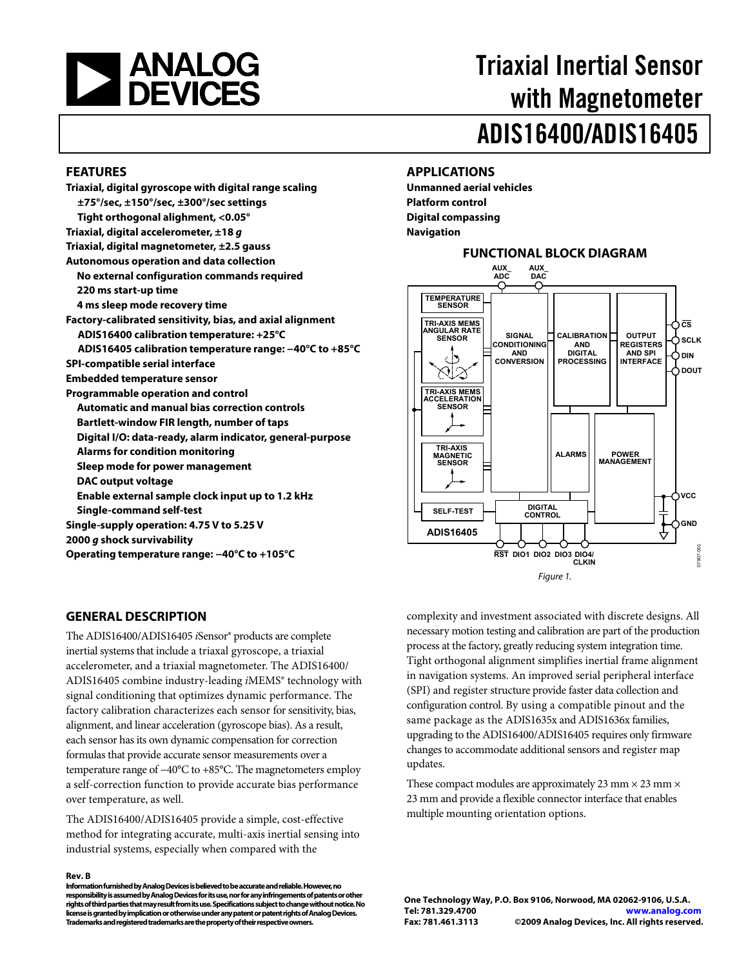<span id="page-0-0"></span>

# Triaxial Inertial Sensor with Magnetometer ADIS16400/ADIS16405

### **FEATURES**

| Triaxial, digital gyroscope with digital range scaling    |
|-----------------------------------------------------------|
| ±75°/sec, ±150°/sec, ±300°/sec settings                   |
| Tight orthogonal alighment, <0.05°                        |
| Triaxial, digital accelerometer, $\pm 18$ g               |
| Triaxial, digital magnetometer, $\pm 2.5$ gauss           |
| <b>Autonomous operation and data collection</b>           |
| No external configuration commands required               |
| 220 ms start-up time                                      |
| 4 ms sleep mode recovery time                             |
| Factory-calibrated sensitivity, bias, and axial alignment |
| ADIS16400 calibration temperature: +25°C                  |
| ADIS16405 calibration temperature range: -40°C to +85°C   |
| SPI-compatible serial interface                           |
| <b>Embedded temperature sensor</b>                        |
| <b>Programmable operation and control</b>                 |
| <b>Automatic and manual bias correction controls</b>      |
| Bartlett-window FIR length, number of taps                |
| Digital I/O: data-ready, alarm indicator, general-purpose |
| <b>Alarms for condition monitoring</b>                    |
| Sleep mode for power management                           |
| DAC output voltage                                        |
| Enable external sample clock input up to 1.2 kHz          |
| <b>Single-command self-test</b>                           |
| Single-supply operation: 4.75 V to 5.25 V                 |
| 2000 g shock survivability                                |

**Operating temperature range: −40°C to +105°C** 

#### **GENERAL DESCRIPTION**

The ADIS16400/ADIS16405 *i*Sensor® products are complete inertial systems that include a triaxal gyroscope, a triaxial accelerometer, and a triaxial magnetometer. The ADIS16400/ ADIS16405 combine industry-leading *i*MEMS® technology with signal conditioning that optimizes dynamic performance. The factory calibration characterizes each sensor for sensitivity, bias, alignment, and linear acceleration (gyroscope bias). As a result, each sensor has its own dynamic compensation for correction formulas that provide accurate sensor measurements over a temperature range of −40°C to +85°C. The magnetometers employ a self-correction function to provide accurate bias performance over temperature, as well.

The ADIS16400/ADIS16405 provide a simple, cost-effective method for integrating accurate, multi-axis inertial sensing into industrial systems, especially when compared with the

#### **Rev. B**

**Information furnished by Analog Devices is believed to be accurate and reliable. However, no responsibility is assumed by Analog Devices for its use, nor for any infringements of patents or other rights of third parties that may result from its use. Specifications subject to change without notice. No license is granted by implication or otherwise under any patent or patent rights of Analog Devices. Trademarks and registered trademarks are the property of their respective owners.** 

#### **APPLICATIONS**

**Unmanned aerial vehicles Platform control Digital compassing Navigation** 



complexity and investment associated with discrete designs. All necessary motion testing and calibration are part of the production process at the factory, greatly reducing system integration time. Tight orthogonal alignment simplifies inertial frame alignment in navigation systems. An improved serial peripheral interface (SPI) and register structure provide faster data collection and configuration control. By using a compatible pinout and the same package as the ADIS1635x and ADIS1636x families, upgrading to the ADIS16400/ADIS16405 requires only firmware changes to accommodate additional sensors and register map updates.

These compact modules are approximately 23 mm  $\times$  23 mm  $\times$ 23 mm and provide a flexible connector interface that enables multiple mounting orientation options.

**One Technology Way, P.O. Box 9106, Norwood, MA 02062-9106, U.S.A. Tel: 781.329.4700 www.analog.com Fax: 781.461.3113 ©2009 Analog Devices, Inc. All rights reserved.**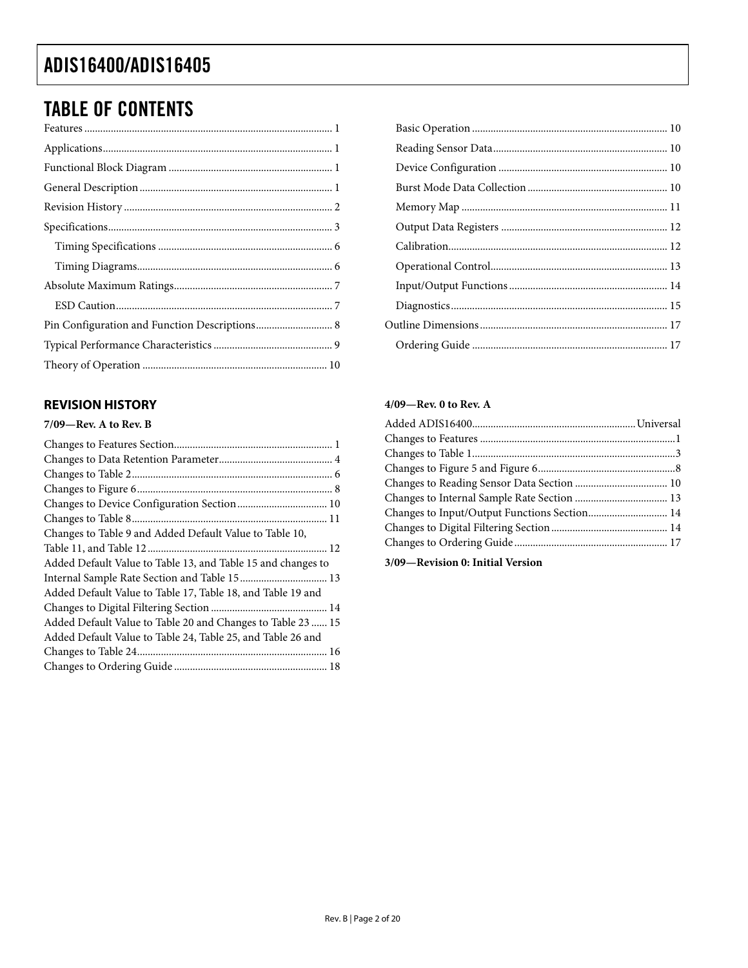## TABLE OF CONTENTS

### **REVISION HISTORY**

### **7/09—Rev. A to Rev. B**

| Changes to Device Configuration Section 10                   |  |
|--------------------------------------------------------------|--|
|                                                              |  |
| Changes to Table 9 and Added Default Value to Table 10,      |  |
|                                                              |  |
| Added Default Value to Table 13, and Table 15 and changes to |  |
|                                                              |  |
| Added Default Value to Table 17, Table 18, and Table 19 and  |  |
|                                                              |  |
| Added Default Value to Table 20 and Changes to Table 23  15  |  |
| Added Default Value to Table 24, Table 25, and Table 26 and  |  |
|                                                              |  |
|                                                              |  |
|                                                              |  |

### **4/09—Rev. 0 to Rev. A**

| Changes to Input/Output Functions Section 14 |  |
|----------------------------------------------|--|
|                                              |  |
|                                              |  |
|                                              |  |

**3/09—Revision 0: Initial Version**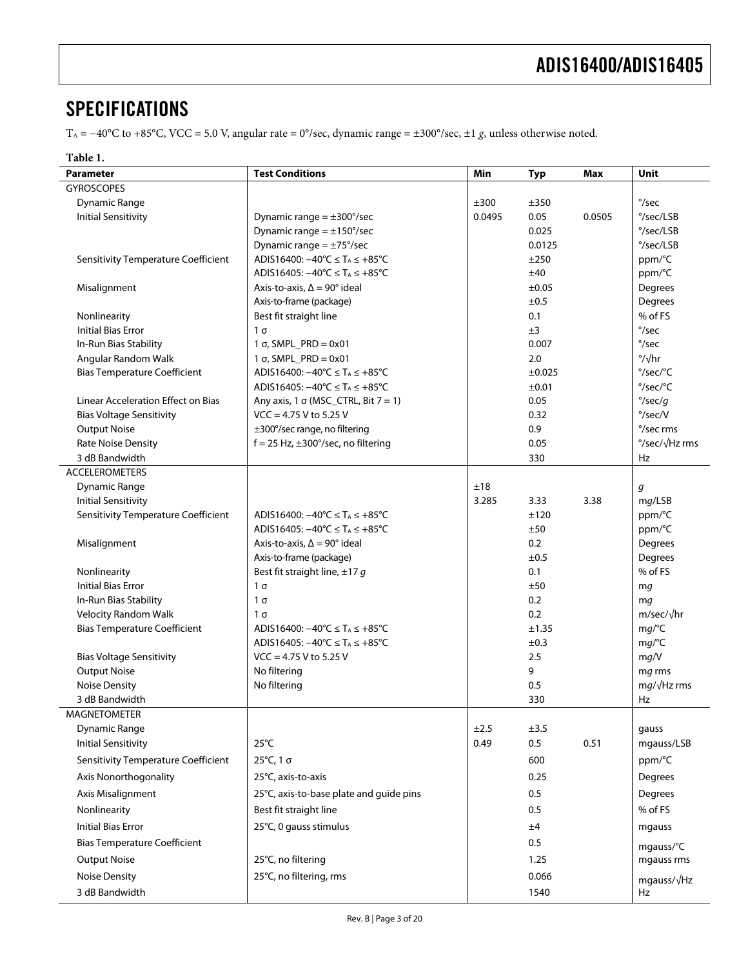## <span id="page-2-0"></span>**SPECIFICATIONS**

TA = −40°C to +85°C, VCC = 5.0 V, angular rate = 0°/sec, dynamic range = ±300°/sec, ±1 *g*, unless otherwise noted.

| н<br>۹ | ונו |  |
|--------|-----|--|
|--------|-----|--|

<span id="page-2-1"></span>

| Parameter                                                                | <b>Test Conditions</b>                                                     | Min    | <b>Typ</b>   | Max    | Unit                            |
|--------------------------------------------------------------------------|----------------------------------------------------------------------------|--------|--------------|--------|---------------------------------|
| <b>GYROSCOPES</b>                                                        |                                                                            |        |              |        |                                 |
| <b>Dynamic Range</b>                                                     |                                                                            | ±300   | ±350         |        | $\degree$ /sec                  |
| <b>Initial Sensitivity</b>                                               | Dynamic range $= \pm 300^{\circ}/sec$                                      | 0.0495 | 0.05         | 0.0505 | $\degree$ /sec/LSB              |
|                                                                          | Dynamic range $= \pm 150^{\circ}/sec$                                      |        | 0.025        |        | °/sec/LSB                       |
|                                                                          | Dynamic range = $\pm$ 75°/sec                                              |        | 0.0125       |        | $\degree$ /sec/LSB              |
| Sensitivity Temperature Coefficient                                      | ADIS16400: $-40^{\circ}$ C ≤ T <sub>A</sub> ≤ +85 <sup>°</sup> C           |        | ±250         |        | ppm/°C                          |
|                                                                          | ADIS16405: $-40^{\circ}$ C ≤ T <sub>A</sub> ≤ +85 <sup>°</sup> C           |        | ±40          |        | ppm/°C                          |
| Misalignment                                                             | Axis-to-axis, $\Delta = 90^\circ$ ideal                                    |        | $\pm 0.05$   |        | Degrees                         |
|                                                                          | Axis-to-frame (package)                                                    |        | ±0.5         |        | Degrees                         |
| Nonlinearity                                                             | Best fit straight line                                                     |        | 0.1          |        | % of FS                         |
| <b>Initial Bias Error</b>                                                | $1\sigma$                                                                  |        | ±3           |        | $\degree$ /sec                  |
| In-Run Bias Stability                                                    | $1 \sigma$ , SMPL_PRD = 0x01                                               |        | 0.007        |        | $\degree$ /sec                  |
| Angular Random Walk                                                      | $1 \sigma$ , SMPL_PRD = 0x01                                               |        | 2.0          |        | $\frac{\circ}{\sqrt{h}}$ r      |
| <b>Bias Temperature Coefficient</b>                                      | ADIS16400: $-40^{\circ}$ C ≤ T <sub>A</sub> ≤ +85 <sup>°</sup> C           |        | ±0.025       |        | °/sec/°C                        |
|                                                                          | ADIS16405: $-40^{\circ}$ C ≤ T <sub>A</sub> ≤ +85 <sup>°</sup> C           |        | ±0.01        |        | $\degree$ /sec/ $\degree$ C     |
| Linear Acceleration Effect on Bias                                       | Any axis, 1 $\sigma$ (MSC_CTRL, Bit 7 = 1)                                 |        | 0.05         |        | $\degree$ /sec/g                |
| <b>Bias Voltage Sensitivity</b>                                          | $VCC = 4.75 V$ to 5.25 V                                                   |        | 0.32         |        | $\degree$ /sec/V                |
| <b>Output Noise</b>                                                      | ±300°/sec range, no filtering                                              |        | 0.9          |        | °/sec rms                       |
| <b>Rate Noise Density</b>                                                | $f = 25$ Hz, $\pm 300^{\circ}/sec$ , no filtering                          |        | 0.05         |        | $\degree$ /sec/ $\sqrt{Hz}$ rms |
| 3 dB Bandwidth                                                           |                                                                            |        | 330          |        | Hz                              |
| <b>ACCELEROMETERS</b>                                                    |                                                                            |        |              |        |                                 |
| Dynamic Range                                                            |                                                                            | ±18    |              |        | g                               |
| <b>Initial Sensitivity</b><br><b>Sensitivity Temperature Coefficient</b> | ADIS16400: $-40^{\circ}$ C ≤ T <sub>A</sub> ≤ +85 <sup>°</sup> C           | 3.285  | 3.33<br>±120 | 3.38   | mg/LSB                          |
|                                                                          | ADIS16405: $-40^{\circ}$ C ≤ T <sub>A</sub> ≤ +85 <sup>°</sup> C           |        | ±50          |        | ppm/°C<br>ppm/°C                |
| Misalignment                                                             | Axis-to-axis, $\Delta = 90^\circ$ ideal                                    |        | 0.2          |        | Degrees                         |
|                                                                          | Axis-to-frame (package)                                                    |        | ±0.5         |        | Degrees                         |
| Nonlinearity                                                             | Best fit straight line, $\pm$ 17 g                                         |        | 0.1          |        | % of FS                         |
| <b>Initial Bias Error</b>                                                | $1\sigma$                                                                  |        | ±50          |        | mg                              |
| In-Run Bias Stability                                                    | $1\sigma$                                                                  |        | 0.2          |        | mq                              |
| <b>Velocity Random Walk</b>                                              | $1\sigma$                                                                  |        | 0.2          |        | $m/sec/\sqrt{hr}$               |
| <b>Bias Temperature Coefficient</b>                                      | ADIS16400: $-40^{\circ}$ C $\leq$ T <sub>A</sub> $\leq$ +85 <sup>°</sup> C |        | ±1.35        |        | mg/C                            |
|                                                                          | ADIS16405: $-40^{\circ}$ C $\leq$ T <sub>A</sub> $\leq$ +85 <sup>°</sup> C |        | $\pm 0.3$    |        | mg/°C                           |
| <b>Bias Voltage Sensitivity</b>                                          | $VCC = 4.75 V$ to 5.25 V                                                   |        | 2.5          |        | mg/V                            |
| <b>Output Noise</b>                                                      | No filtering                                                               |        | 9            |        | mq rms                          |
| <b>Noise Density</b>                                                     | No filtering                                                               |        | 0.5          |        | $mg/\sqrt{Hz}$ rms              |
| 3 dB Bandwidth                                                           |                                                                            |        | 330          |        | Hz                              |
| <b>MAGNETOMETER</b>                                                      |                                                                            |        |              |        |                                 |
| <b>Dynamic Range</b>                                                     |                                                                            | ±2.5   | ±3.5         |        | gauss                           |
| <b>Initial Sensitivity</b>                                               | $25^{\circ}$ C                                                             | 0.49   | 0.5          | 0.51   | mgauss/LSB                      |
| Sensitivity Temperature Coefficient                                      | 25°C, 1 σ                                                                  |        | 600          |        | ppm/°C                          |
| Axis Nonorthogonality                                                    | 25°C, axis-to-axis                                                         |        | 0.25         |        | Degrees                         |
| Axis Misalignment                                                        | 25°C, axis-to-base plate and guide pins                                    |        | 0.5          |        | Degrees                         |
| Nonlinearity                                                             |                                                                            |        | 0.5          |        | % of FS                         |
|                                                                          | Best fit straight line                                                     |        |              |        |                                 |
| <b>Initial Bias Error</b>                                                | 25°C, 0 gauss stimulus                                                     |        | ±4           |        | mgauss                          |
| <b>Bias Temperature Coefficient</b>                                      |                                                                            |        | 0.5          |        | mgauss/°C                       |
| <b>Output Noise</b>                                                      | 25°C, no filtering                                                         |        | 1.25         |        | mgauss rms                      |
| <b>Noise Density</b>                                                     | 25°C, no filtering, rms                                                    |        | 0.066        |        | mgauss/√Hz                      |
| 3 dB Bandwidth                                                           |                                                                            |        | 1540         |        | Hz                              |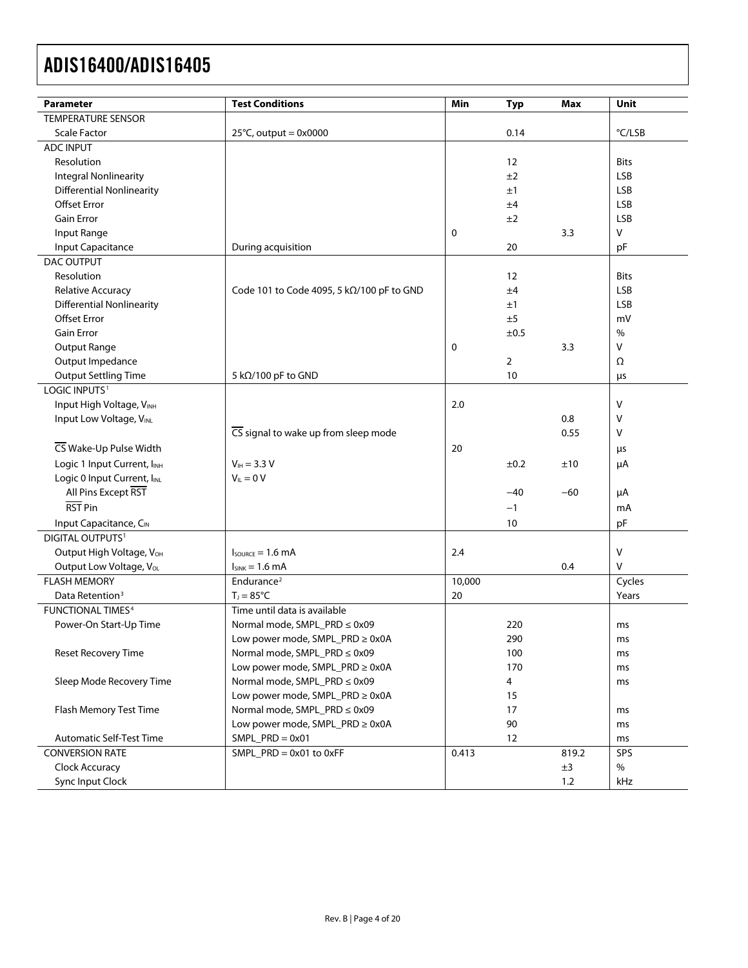| Parameter                           | <b>Test Conditions</b>                    | Min    | <b>Typ</b> | Max   | Unit        |
|-------------------------------------|-------------------------------------------|--------|------------|-------|-------------|
| <b>TEMPERATURE SENSOR</b>           |                                           |        |            |       |             |
| <b>Scale Factor</b>                 | $25^{\circ}$ C, output = 0x0000           |        | 0.14       |       | °C/LSB      |
| <b>ADC INPUT</b>                    |                                           |        |            |       |             |
| Resolution                          |                                           |        | 12         |       | <b>Bits</b> |
| Integral Nonlinearity               |                                           |        | ±2         |       | <b>LSB</b>  |
| <b>Differential Nonlinearity</b>    |                                           |        | ±1         |       | <b>LSB</b>  |
| <b>Offset Error</b>                 |                                           |        | ±4         |       | <b>LSB</b>  |
| <b>Gain Error</b>                   |                                           |        | ±2         |       | <b>LSB</b>  |
| Input Range                         |                                           | 0      |            | 3.3   | $\vee$      |
| Input Capacitance                   | During acquisition                        |        | 20         |       | pF          |
| DAC OUTPUT                          |                                           |        |            |       |             |
| Resolution                          |                                           |        | 12         |       | <b>Bits</b> |
| Relative Accuracy                   | Code 101 to Code 4095, 5 kΩ/100 pF to GND |        | ±4         |       | <b>LSB</b>  |
| <b>Differential Nonlinearity</b>    |                                           |        | ±1         |       | <b>LSB</b>  |
| <b>Offset Error</b>                 |                                           |        | ±5         |       | mV          |
| <b>Gain Error</b>                   |                                           |        | ±0.5       |       | $\%$        |
| <b>Output Range</b>                 |                                           | 0      |            | 3.3   | V           |
| Output Impedance                    |                                           |        | 2          |       | Ω           |
| <b>Output Settling Time</b>         | 5 k $\Omega$ /100 pF to GND               |        | 10         |       | μs          |
| LOGIC INPUTS <sup>1</sup>           |                                           |        |            |       |             |
| Input High Voltage, VINH            |                                           | 2.0    |            |       | $\vee$      |
| Input Low Voltage, VINL             |                                           |        |            | 0.8   | V           |
|                                     | CS signal to wake up from sleep mode      |        |            | 0.55  | V           |
| CS Wake-Up Pulse Width              |                                           | 20     |            |       | μs          |
| Logic 1 Input Current, IINH         | $V_{\text{H}} = 3.3 V$                    |        | ±0.2       | ±10   | μA          |
| Logic 0 Input Current, IINL         | $V_{II} = 0 V$                            |        |            |       |             |
| All Pins Except RST                 |                                           |        | $-40$      | $-60$ | μA          |
| RST Pin                             |                                           |        | $-1$       |       | mA          |
|                                     |                                           |        |            |       |             |
| Input Capacitance, CIN              |                                           |        | 10         |       | pF          |
| DIGITAL OUTPUTS <sup>1</sup>        |                                           |        |            |       |             |
| Output High Voltage, VOH            | $I_{\text{SOLRCF}} = 1.6 \text{ mA}$      | 2.4    |            |       | $\vee$      |
| Output Low Voltage, Vol.            | $I_{SINK} = 1.6 mA$                       |        |            | 0.4   | V           |
| <b>FLASH MEMORY</b>                 | Endurance <sup>2</sup>                    | 10,000 |            |       | Cycles      |
| Data Retention <sup>3</sup>         | $T_1 = 85^{\circ}C$                       | 20     |            |       | Years       |
| <b>FUNCTIONAL TIMES<sup>4</sup></b> | Time until data is available              |        |            |       |             |
| Power-On Start-Up Time              | Normal mode, SMPL_PRD ≤ 0x09              |        | 220        |       | ms          |
|                                     | Low power mode, SMPL_PRD ≥ 0x0A           |        | 290        |       | ms          |
| <b>Reset Recovery Time</b>          | Normal mode, SMPL_PRD ≤ 0x09              |        | 100        |       | ms          |
|                                     | Low power mode, SMPL_PRD ≥ 0x0A           |        | 170        |       | ms          |
| Sleep Mode Recovery Time            | Normal mode, SMPL_PRD ≤ 0x09              |        | 4          |       | ms          |
|                                     | Low power mode, SMPL_PRD ≥ 0x0A           |        | 15         |       |             |
| Flash Memory Test Time              | Normal mode, SMPL_PRD ≤ 0x09              |        | 17         |       | ms          |
|                                     | Low power mode, SMPL_PRD ≥ 0x0A           |        | 90         |       | ms          |
| <b>Automatic Self-Test Time</b>     | $SMPL$ $PRD = 0x01$                       |        | 12         |       | ms          |
| <b>CONVERSION RATE</b>              | $SMPL\_PRD = 0x01$ to $0xFF$              | 0.413  |            | 819.2 | SPS         |
| Clock Accuracy                      |                                           |        |            | ±3    | $\%$        |
| Sync Input Clock                    |                                           |        |            | 1.2   | kHz         |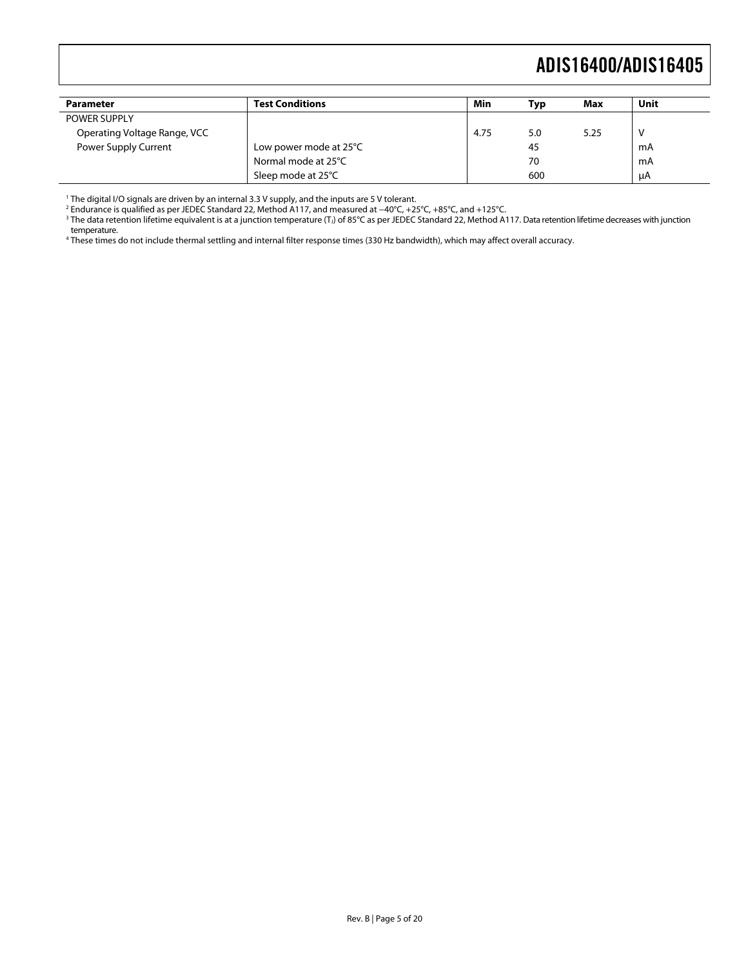<span id="page-4-0"></span>

| <b>Parameter</b>             | Test Conditions        | Min  | Typ | Max  | Unit |
|------------------------------|------------------------|------|-----|------|------|
| <b>POWER SUPPLY</b>          |                        |      |     |      |      |
| Operating Voltage Range, VCC |                        | 4.75 | 5.0 | 5.25 |      |
| Power Supply Current         | Low power mode at 25°C |      | 45  |      | mA   |
|                              | Normal mode at 25°C    |      | 70  |      | mA   |
|                              | Sleep mode at 25°C     |      | 600 |      | uA   |

1 The digital I/O signals are driven by an internal 3.3 V supply, and the inputs are 5 V tolerant.

<sup>2</sup> Endurance is qualified as per JEDEC Standard 22, Method A117, and measured at −40°C, +25°C, +85°C, and +125°C.<br><sup>3</sup> The data retention lifetime equivalent is at a junction temperature (T,) of 85°C as per JEDEC Standard temperature.

4 These times do not include thermal settling and internal filter response times (330 Hz bandwidth), which may affect overall accuracy.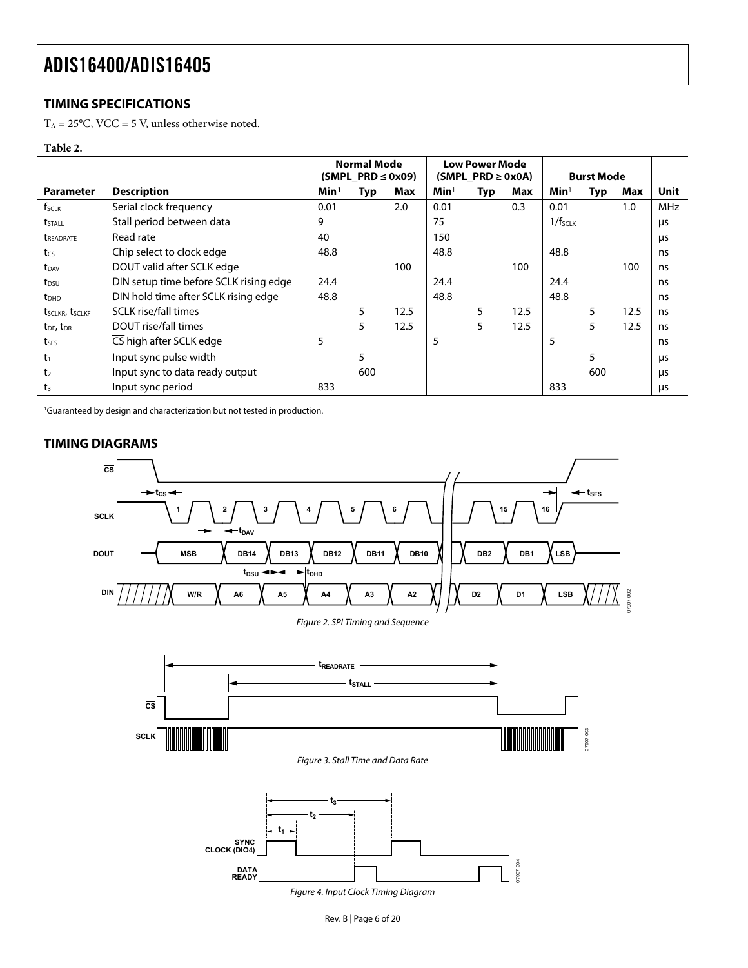### <span id="page-5-1"></span><span id="page-5-0"></span>**TIMING SPECIFICATIONS**

 $\mathrm{T_A} = 25^{\circ}\mathrm{C}$ , VCC = 5 V, unless otherwise noted.

#### **Table 2.**

<span id="page-5-2"></span>

|                                   |                                        | <b>Normal Mode</b><br>$(SMPI \, PRD \leq 0x09)$ |     |      | <b>Low Power Mode</b><br>$(SMPI_PRD \geq 0x0A)$ |     |      | <b>Burst Mode</b>   |     |      |            |
|-----------------------------------|----------------------------------------|-------------------------------------------------|-----|------|-------------------------------------------------|-----|------|---------------------|-----|------|------------|
| <b>Parameter</b>                  | <b>Description</b>                     | Min <sup>1</sup>                                | Typ | Max  | Min <sup>1</sup>                                | Typ | Max  | Min <sup>1</sup>    | Typ | Max  | Unit       |
| f <sub>SCLK</sub>                 | Serial clock frequency                 | 0.01                                            |     | 2.0  | 0.01                                            |     | 0.3  | 0.01                |     | 1.0  | <b>MHz</b> |
| tstall                            | Stall period between data              | 9                                               |     |      | 75                                              |     |      | 1/f <sub>SCLK</sub> |     |      | μs         |
| <b><i>UREADRATE</i></b>           | Read rate                              | 40                                              |     |      | 150                                             |     |      |                     |     |      | μs         |
| tcs                               | Chip select to clock edge              | 48.8                                            |     |      | 48.8                                            |     |      | 48.8                |     |      | ns         |
| $t_{DAV}$                         | DOUT valid after SCLK edge             |                                                 |     | 100  |                                                 |     | 100  |                     |     | 100  | ns         |
| t <sub>DSU</sub>                  | DIN setup time before SCLK rising edge | 24.4                                            |     |      | 24.4                                            |     |      | 24.4                |     |      | ns         |
| <b>t</b> <sub>DHD</sub>           | DIN hold time after SCLK rising edge   | 48.8                                            |     |      | 48.8                                            |     |      | 48.8                |     |      | ns         |
| tsclkr, tsclkf                    | <b>SCLK</b> rise/fall times            |                                                 | 5   | 12.5 |                                                 | 5   | 12.5 |                     | 5   | 12.5 | ns         |
| t <sub>DF</sub> , t <sub>DR</sub> | DOUT rise/fall times                   |                                                 | 5   | 12.5 |                                                 | 5   | 12.5 |                     | 5.  | 12.5 | ns         |
| tses                              | CS high after SCLK edge                | 5                                               |     |      | 5                                               |     |      | 5                   |     |      | ns         |
| t <sub>1</sub>                    | Input sync pulse width                 |                                                 | 5   |      |                                                 |     |      |                     | 5   |      | μs         |
| t <sub>2</sub>                    | Input sync to data ready output        |                                                 | 600 |      |                                                 |     |      |                     | 600 |      | μs         |
| t <sub>3</sub>                    | Input sync period                      | 833                                             |     |      |                                                 |     |      | 833                 |     |      | us         |

1 Guaranteed by design and characterization but not tested in production.



07907-002

<span id="page-5-3"></span>Figure 4. Input Clock Timing Diagram

### **TIMING DIAGRAMS**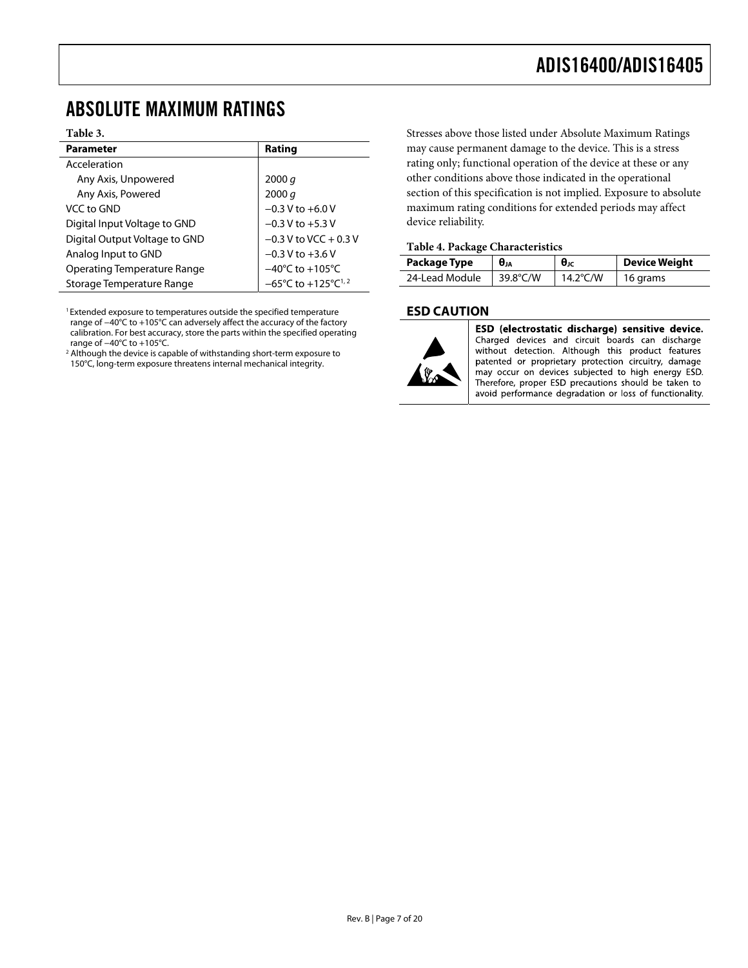## <span id="page-6-1"></span><span id="page-6-0"></span>ABSOLUTE MAXIMUM RATINGS

#### **Table 3.**

| <b>Parameter</b>                   | Rating                                             |
|------------------------------------|----------------------------------------------------|
| Acceleration                       |                                                    |
| Any Axis, Unpowered                | 2000 $q$                                           |
| Any Axis, Powered                  | 2000 q                                             |
| VCC to GND                         | $-0.3$ V to $+6.0$ V                               |
| Digital Input Voltage to GND       | $-0.3$ V to $+5.3$ V                               |
| Digital Output Voltage to GND      | $-0.3$ V to VCC + 0.3 V                            |
| Analog Input to GND                | $-0.3 V$ to $+3.6 V$                               |
| <b>Operating Temperature Range</b> | $-40^{\circ}$ C to $+105^{\circ}$ C                |
| Storage Temperature Range          | $-65^{\circ}$ C to $+125^{\circ}$ C <sup>1,2</sup> |

<sup>1</sup> Extended exposure to temperatures outside the specified temperature range of −40°C to +105°C can adversely affect the accuracy of the factory calibration. For best accuracy, store the parts within the specified operating range of −40°C to +105°C. 2

<sup>2</sup> Although the device is capable of withstanding short-term exposure to 150°C, long-term exposure threatens internal mechanical integrity.

Stresses above those listed under Absolute Maximum Ratings may cause permanent damage to the device. This is a stress rating only; functional operation of the device at these or any other conditions above those indicated in the operational section of this specification is not implied. Exposure to absolute maximum rating conditions for extended periods may affect device reliability.

#### **Table 4. Package Characteristics**

| <b>Package Type</b> | $\theta_{JA}$ | $\theta$ JC | Device Weight    |  |  |  |  |
|---------------------|---------------|-------------|------------------|--|--|--|--|
| 24-Lead Module      | 39.8°C/W      | 14.2°C/W    | $\vert$ 16 grams |  |  |  |  |

### **ESD CAUTION**



ESD (electrostatic discharge) sensitive device. Charged devices and circuit boards can discharge without detection. Although this product features patented or proprietary protection circuitry, damage may occur on devices subjected to high energy ESD. Therefore, proper ESD precautions should be taken to avoid performance degradation or loss of functionality.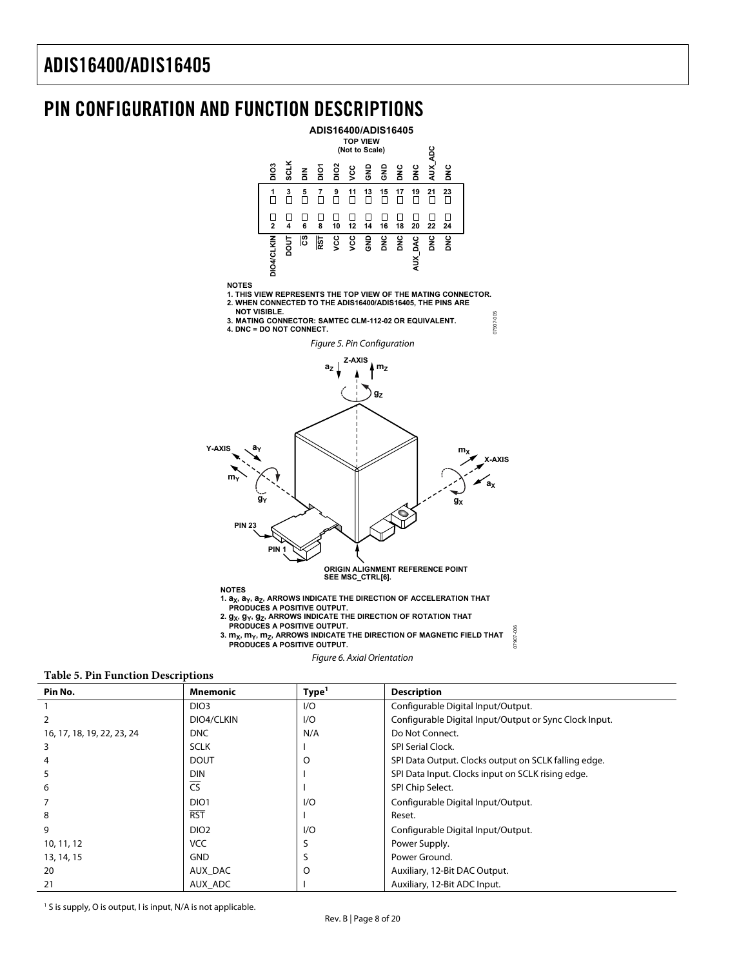### <span id="page-7-0"></span>PIN CONFIGURATION AND FUNCTION DESCRIPTIONS



**NOTES**

**1. THIS VIEW REPRESENTS THE TOP VIEW OF THE MATING CONNECTOR. 2. WHEN CONNECTED TO THE ADIS16400/ADIS16405, THE PINS ARE**







**NOTES**

1.  $a_X$ ,  $a_Y$ ,  $a_Z$ , ARROWS INDICATE THE DIRECTION OF ACCELERATION THAT<br>PRODUCES A POSITIVE OUTPUT.

- 
- 2.  $g_X$ ,  $g_Y$ ,  $g_Z$ , ARROWS INDICATE THE DIRECTION OF ROTATION THAT<br>PRODUCES A POSITIVE OUTPUT.

3.  $m_X$ ,  $m_Y$ ,  $m_Z$ , ARROWS INDICATE THE DIRECTION OF MAGNETIC FIELD THAT  **PRODUCES A POSITIVE OUTPUT.**

07907-006

7907-006

#### Figure 6. Axial Orientation

#### <span id="page-7-1"></span>**Table 5. Pin Function Descriptions**

| Pin No.                    | <b>Mnemonic</b>        | Type <sup>1</sup> | <b>Description</b>                                     |
|----------------------------|------------------------|-------------------|--------------------------------------------------------|
|                            | DIO <sub>3</sub>       | 1/O               | Configurable Digital Input/Output.                     |
| $\overline{2}$             | DIO4/CLKIN             | 1/O               | Configurable Digital Input/Output or Sync Clock Input. |
| 16, 17, 18, 19, 22, 23, 24 | <b>DNC</b>             | N/A               | Do Not Connect.                                        |
| 3                          | <b>SCLK</b>            |                   | <b>SPI Serial Clock.</b>                               |
| 4                          | <b>DOUT</b>            | O                 | SPI Data Output. Clocks output on SCLK falling edge.   |
| 5                          | <b>DIN</b>             |                   | SPI Data Input. Clocks input on SCLK rising edge.      |
| 6                          | $\overline{\text{CS}}$ |                   | SPI Chip Select.                                       |
|                            | DIO <sub>1</sub>       | 1/O               | Configurable Digital Input/Output.                     |
| 8                          | <b>RST</b>             |                   | Reset.                                                 |
| 9                          | DIO <sub>2</sub>       | 1/O               | Configurable Digital Input/Output.                     |
| 10, 11, 12                 | <b>VCC</b>             | S                 | Power Supply.                                          |
| 13, 14, 15                 | <b>GND</b>             |                   | Power Ground.                                          |
| 20                         | AUX DAC                | O                 | Auxiliary, 12-Bit DAC Output.                          |
| 21                         | AUX ADC                |                   | Auxiliary, 12-Bit ADC Input.                           |

<sup>1</sup> S is supply, O is output, I is input, N/A is not applicable.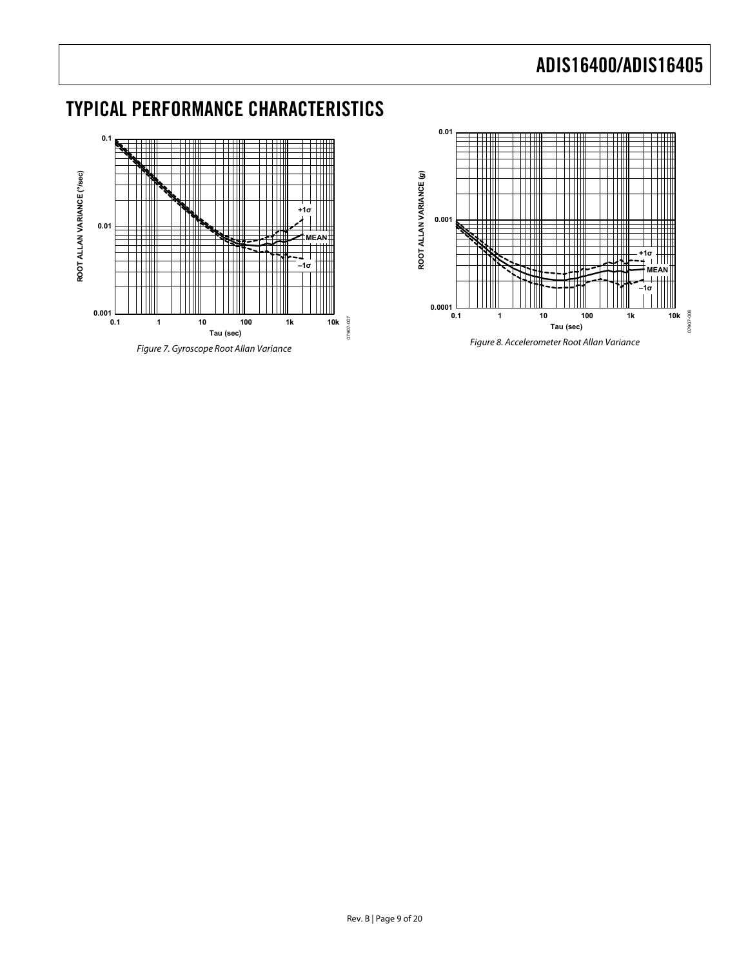## <span id="page-8-0"></span>TYPICAL PERFORMANCE CHARACTERISTICS



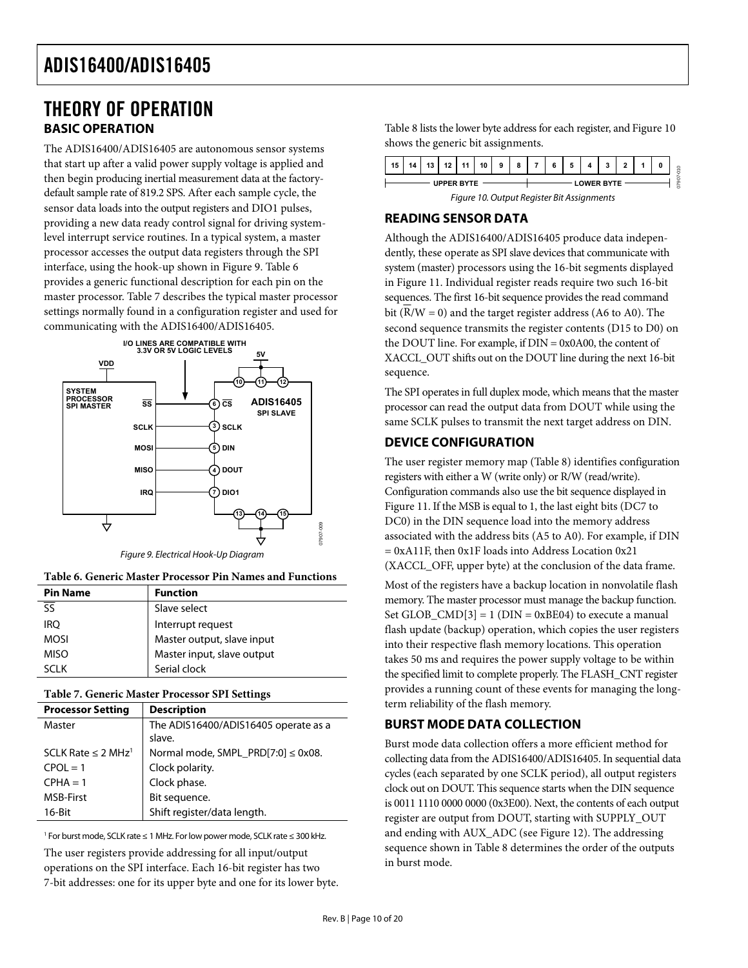### <span id="page-9-1"></span><span id="page-9-0"></span>THEORY OF OPERATION **BASIC OPERATION**

<span id="page-9-4"></span>The ADIS16400/ADIS16405 are autonomous sensor systems that start up after a valid power supply voltage is applied and then begin producing inertial measurement data at the factorydefault sample rate of 819.2 SPS. After each sample cycle, the sensor data loads into the output registers and DIO1 pulses, providing a new data ready control signal for driving systemlevel interrupt service routines. In a typical system, a master processor accesses the output data registers through the SPI interface, using the hook-up shown in [Figure 9](#page-9-2). Table 6 provides a generic functional description for each pin on the master processor. [Table 7](#page-9-3) describes the typical master processor settings normally found in a configuration register and used for communicating with the ADIS16400/ADIS16405.



Figure 9. Electrical Hook-Up Diagram

<span id="page-9-2"></span>**Table 6. Generic Master Processor Pin Names and Functions** 

| <b>Pin Name</b>                     | <b>Function</b>            |
|-------------------------------------|----------------------------|
| $\overline{\overline{\mathsf{SS}}}$ | Slave select               |
| <b>IRO</b>                          | Interrupt request          |
| MOSI                                | Master output, slave input |
| MISO                                | Master input, slave output |
| SCI K                               | Serial clock               |

#### **Table 7. Generic Master Processor SPI Settings**

<span id="page-9-3"></span>

| <b>Processor Setting</b>            | <b>Description</b>                             |
|-------------------------------------|------------------------------------------------|
| Master                              | The ADIS16400/ADIS16405 operate as a<br>slave. |
| SCLK Rate $\leq$ 2 MHz <sup>1</sup> | Normal mode, SMPL_PRD[7:0] $\leq$ 0x08.        |
| $CPOI = 1$                          | Clock polarity.                                |
| $CPHA = 1$                          | Clock phase.                                   |
| <b>MSB-First</b>                    | Bit sequence.                                  |
| $16$ -Bit                           | Shift register/data length.                    |

1 For burst mode, SCLK rate ≤ 1 MHz. For low power mode, SCLK rate ≤ 300 kHz.

The user registers provide addressing for all input/output operations on the SPI interface. Each 16-bit register has two 7-bit addresses: one for its upper byte and one for its lower byte. [Table 8](#page-10-1) lists the lower byte address for each register, and [Figure 10](#page-9-4) shows the generic bit assignments.

| 15                | 14 | 12<br>10 | $\overline{\phantom{0}}$ | 44 | 10 | 9 | 8                 | $\rightarrow$ | 5 |                        |  | 0 | $\circ$<br>$\overline{ }$<br>۰ |
|-------------------|----|----------|--------------------------|----|----|---|-------------------|---------------|---|------------------------|--|---|--------------------------------|
| <b>UPPER BYTE</b> |    |          |                          |    |    |   | <b>LOWER BYTE</b> |               |   | v.<br>c<br>ō<br>в<br>r |  |   |                                |

Figure 10. Output Register Bit Assignments

### **READING SENSOR DATA**

Although the ADIS16400/ADIS16405 produce data independently, these operate as SPI slave devices that communicate with system (master) processors using the 16-bit segments displayed in [Figure 11](#page-10-2). Individual register reads require two such 16-bit sequences. The first 16-bit sequence provides the read command bit ( $\overline{R/W} = 0$ ) and the target register address (A6 to A0). The second sequence transmits the register contents (D15 to D0) on the DOUT line. For example, if DIN = 0x0A00, the content of XACCL\_OUT shifts out on the DOUT line during the next 16-bit sequence.

The SPI operates in full duplex mode, which means that the master processor can read the output data from DOUT while using the same SCLK pulses to transmit the next target address on DIN.

### **DEVICE CONFIGURATION**

The user register memory map ([Table 8](#page-10-1)) identifies configuration registers with either a W (write only) or R/W (read/write). Configuration commands also use the bit sequence displayed in [Figure 11](#page-10-2). If the MSB is equal to 1, the last eight bits (DC7 to DC0) in the DIN sequence load into the memory address associated with the address bits (A5 to A0). For example, if DIN = 0xA11F, then 0x1F loads into Address Location 0x21 (XACCL\_OFF, upper byte) at the conclusion of the data frame.

Most of the registers have a backup location in nonvolatile flash memory. The master processor must manage the backup function. Set GLOB\_CMD $[3] = 1$  (DIN = 0xBE04) to execute a manual flash update (backup) operation, which copies the user registers into their respective flash memory locations. This operation takes 50 ms and requires the power supply voltage to be within the specified limit to complete properly. The FLASH\_CNT register provides a running count of these events for managing the longterm reliability of the flash memory.

### **BURST MODE DATA COLLECTION**

Burst mode data collection offers a more efficient method for collecting data from the ADIS16400/ADIS16405. In sequential data cycles (each separated by one SCLK period), all output registers clock out on DOUT. This sequence starts when the DIN sequence is 0011 1110 0000 0000 (0x3E00). Next, the contents of each output register are output from DOUT, starting with SUPPLY\_OUT and ending with AUX\_ADC (see [Figure 12\)](#page-11-1). The addressing sequence shown in [Table 8](#page-10-1) determines the order of the outputs in burst mode.

07907-009

7907-009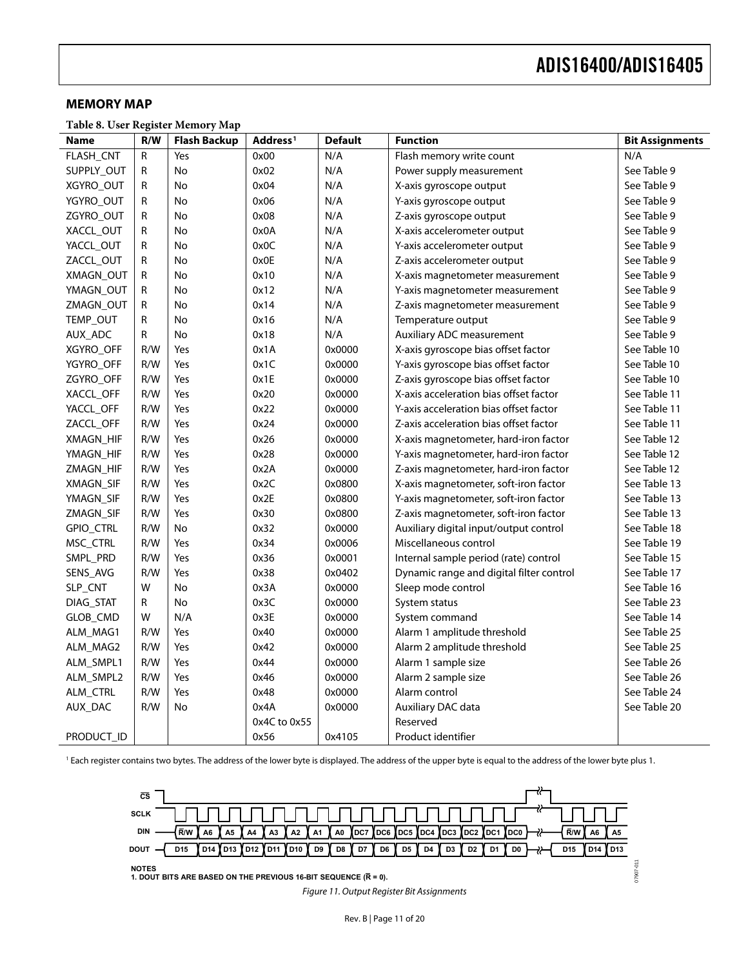#### <span id="page-10-0"></span>**MEMORY MAP**

**Table 8. User Register Memory Map** 

<span id="page-10-1"></span>

| <b>Name</b> | R/W | <b>Flash Backup</b> | Address <sup>1</sup> | <b>Default</b> | <b>Function</b>                          | <b>Bit Assignments</b> |
|-------------|-----|---------------------|----------------------|----------------|------------------------------------------|------------------------|
| FLASH_CNT   | R   | Yes                 | 0x00                 | N/A            | Flash memory write count                 | N/A                    |
| SUPPLY_OUT  | R   | No                  | 0x02                 | N/A            | Power supply measurement                 | See Table 9            |
| XGYRO_OUT   | R   | No                  | 0x04                 | N/A            | X-axis gyroscope output                  | See Table 9            |
| YGYRO_OUT   | R   | No                  | 0x06                 | N/A            | Y-axis gyroscope output                  | See Table 9            |
| ZGYRO_OUT   | R   | <b>No</b>           | 0x08                 | N/A            | Z-axis gyroscope output                  | See Table 9            |
| XACCL_OUT   | R   | No                  | 0x0A                 | N/A            | X-axis accelerometer output              | See Table 9            |
| YACCL_OUT   | R   | <b>No</b>           | 0x0C                 | N/A            | Y-axis accelerometer output              | See Table 9            |
| ZACCL_OUT   | R   | <b>No</b>           | 0x0E                 | N/A            | Z-axis accelerometer output              | See Table 9            |
| XMAGN_OUT   | R   | No                  | 0x10                 | N/A            | X-axis magnetometer measurement          | See Table 9            |
| YMAGN_OUT   | R   | No                  | 0x12                 | N/A            | Y-axis magnetometer measurement          | See Table 9            |
| ZMAGN_OUT   | R   | No                  | 0x14                 | N/A            | Z-axis magnetometer measurement          | See Table 9            |
| TEMP_OUT    | R   | <b>No</b>           | 0x16                 | N/A            | Temperature output                       | See Table 9            |
| AUX_ADC     | R   | No                  | 0x18                 | N/A            | Auxiliary ADC measurement                | See Table 9            |
| XGYRO_OFF   | R/W | Yes                 | 0x1A                 | 0x0000         | X-axis gyroscope bias offset factor      | See Table 10           |
| YGYRO_OFF   | R/W | Yes                 | 0x1C                 | 0x0000         | Y-axis gyroscope bias offset factor      | See Table 10           |
| ZGYRO_OFF   | R/W | Yes                 | 0x1E                 | 0x0000         | Z-axis gyroscope bias offset factor      | See Table 10           |
| XACCL OFF   | R/W | Yes                 | 0x20                 | 0x0000         | X-axis acceleration bias offset factor   | See Table 11           |
| YACCL_OFF   | R/W | Yes                 | 0x22                 | 0x0000         | Y-axis acceleration bias offset factor   | See Table 11           |
| ZACCL_OFF   | R/W | Yes                 | 0x24                 | 0x0000         | Z-axis acceleration bias offset factor   | See Table 11           |
| XMAGN_HIF   | R/W | Yes                 | 0x26                 | 0x0000         | X-axis magnetometer, hard-iron factor    | See Table 12           |
| YMAGN_HIF   | R/W | Yes                 | 0x28                 | 0x0000         | Y-axis magnetometer, hard-iron factor    | See Table 12           |
| ZMAGN_HIF   | R/W | Yes                 | 0x2A                 | 0x0000         | Z-axis magnetometer, hard-iron factor    | See Table 12           |
| XMAGN_SIF   | R/W | Yes                 | 0x2C                 | 0x0800         | X-axis magnetometer, soft-iron factor    | See Table 13           |
| YMAGN_SIF   | R/W | Yes                 | 0x2E                 | 0x0800         | Y-axis magnetometer, soft-iron factor    | See Table 13           |
| ZMAGN_SIF   | R/W | Yes                 | 0x30                 | 0x0800         | Z-axis magnetometer, soft-iron factor    | See Table 13           |
| GPIO_CTRL   | R/W | No                  | 0x32                 | 0x0000         | Auxiliary digital input/output control   | See Table 18           |
| MSC_CTRL    | R/W | Yes                 | 0x34                 | 0x0006         | Miscellaneous control                    | See Table 19           |
| SMPL_PRD    | R/W | Yes                 | 0x36                 | 0x0001         | Internal sample period (rate) control    | See Table 15           |
| SENS_AVG    | R/W | Yes                 | 0x38                 | 0x0402         | Dynamic range and digital filter control | See Table 17           |
| SLP_CNT     | W   | No                  | 0x3A                 | 0x0000         | Sleep mode control                       | See Table 16           |
| DIAG STAT   | R   | No                  | 0x3C                 | 0x0000         | System status                            | See Table 23           |
| GLOB_CMD    | W   | N/A                 | 0x3E                 | 0x0000         | System command                           | See Table 14           |
| ALM_MAG1    | R/W | Yes                 | 0x40                 | 0x0000         | Alarm 1 amplitude threshold              | See Table 25           |
| ALM_MAG2    | R/W | Yes                 | 0x42                 | 0x0000         | Alarm 2 amplitude threshold              | See Table 25           |
| ALM_SMPL1   | R/W | Yes                 | 0x44                 | 0x0000         | Alarm 1 sample size                      | See Table 26           |
| ALM_SMPL2   | R/W | Yes                 | 0x46                 | 0x0000         | Alarm 2 sample size                      | See Table 26           |
| ALM_CTRL    | R/W | Yes                 | 0x48                 | 0x0000         | Alarm control                            | See Table 24           |
| AUX_DAC     | R/W | No                  | 0x4A                 | 0x0000         | Auxiliary DAC data                       | See Table 20           |
|             |     |                     | 0x4C to 0x55         |                | Reserved                                 |                        |
| PRODUCT_ID  |     |                     | 0x56                 | 0x4105         | Product identifier                       |                        |

<span id="page-10-2"></span><sup>1</sup> Each register contains two bytes. The address of the lower byte is displayed. The address of the upper byte is equal to the address of the lower byte plus 1.



Figure 11. Output Register Bit Assignments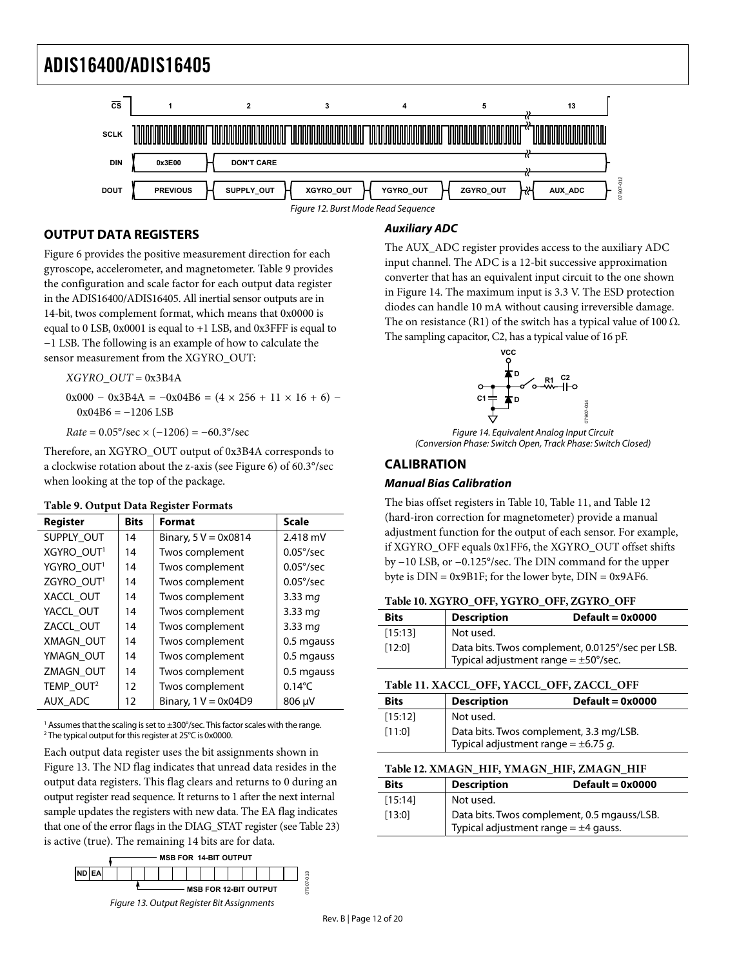<span id="page-11-0"></span>

### <span id="page-11-1"></span>**OUTPUT DATA REGISTERS**

[Figure 6](#page-7-1) provides the positive measurement direction for each gyroscope, accelerometer, and magnetometer. [Table 9](#page-11-2) provides the configuration and scale factor for each output data register in the ADIS16400/ADIS16405. All inertial sensor outputs are in 14-bit, twos complement format, which means that 0x0000 is equal to 0 LSB, 0x0001 is equal to +1 LSB, and 0x3FFF is equal to −1 LSB. The following is an example of how to calculate the sensor measurement from the XGYRO\_OUT:

*XGYRO\_OUT* = 0x3B4A

 $0x000 - 0x3B4A = -0x04B6 = (4 \times 256 + 11 \times 16 + 6)$  $0x04B6 = -1206$  LSB

 $Rate = 0.05^{\circ}/sec \times (-1206) = -60.3^{\circ}/sec$ 

<span id="page-11-7"></span>Therefore, an XGYRO\_OUT output of 0x3B4A corresponds to a clockwise rotation about the z-axis (see [Figure 6\)](#page-7-1) of 60.3°/sec when looking at the top of the package.

#### **Table 9. Output Data Register Formats**

<span id="page-11-3"></span><span id="page-11-2"></span>

| Register               | <b>Bits</b> | <b>Format</b>                 | <b>Scale</b>       |
|------------------------|-------------|-------------------------------|--------------------|
| SUPPLY OUT             | 14          | Binary, $5 V = 0 \times 0814$ | 2.418 mV           |
| XGYRO OUT <sup>1</sup> | 14          | Twos complement               | $0.05\%$ sec       |
| YGYRO OUT <sup>1</sup> | 14          | Twos complement               | $0.05^{\circ}/sec$ |
| ZGYRO OUT <sup>1</sup> | 14          | Twos complement               | $0.05^{\circ}/sec$ |
| XACCL OUT              | 14          | Twos complement               | $3.33 \text{ m}$ a |
| YACCL OUT              | 14          | Twos complement               | $3.33 \text{ mg}$  |
| ZACCL OUT              | 14          | Twos complement               | $3.33 \text{ m}$ a |
| XMAGN OUT              | 14          | Twos complement               | 0.5 mgauss         |
| YMAGN OUT              | 14          | Twos complement               | 0.5 mgauss         |
| ZMAGN OUT              | 14          | Twos complement               | 0.5 mgauss         |
| TEMP OUT <sup>2</sup>  | 12          | Twos complement               | $0.14^{\circ}$ C   |
| AUX ADC                | 12          | Binary, $1 V = 0x04D9$        | 806 µV             |

<span id="page-11-4"></span><sup>1</sup> Assumes that the scaling is set to  $\pm 300^{\circ}/\text{sec}$ . This factor scales with the range. 2 The typical output for this register at 25°C is 0x0000.

<span id="page-11-5"></span>Each output data register uses the bit assignments shown in [Figure 13](#page-11-6). The ND flag indicates that unread data resides in the output data registers. This flag clears and returns to 0 during an output register read sequence. It returns to 1 after the next internal sample updates the registers with new data. The EA flag indicates that one of the error flags in the DIAG\_STAT register (see [Table 23](#page-14-1)) is active (true). The remaining 14 bits are for data.

<span id="page-11-6"></span>

### **Auxiliary ADC**

The AUX\_ADC register provides access to the auxiliary ADC input channel. The ADC is a 12-bit successive approximation converter that has an equivalent input circuit to the one shown in [Figure 14](#page-11-7). The maximum input is 3.3 V. The ESD protection diodes can handle 10 mA without causing irreversible damage. The on resistance (R1) of the switch has a typical value of 100  $\Omega$ . The sampling capacitor, C2, has a typical value of 16 pF.



Figure 14. Equivalent Analog Input Circuit (Conversion Phase: Switch Open, Track Phase: Switch Closed)

### **CALIBRATION**

### **Manual Bias Calibration**

The bias offset registers in [Table 10](#page-11-3), [Table 11](#page-11-4), and [Table 12](#page-11-5) (hard-iron correction for magnetometer) provide a manual adjustment function for the output of each sensor. For example, if XGYRO\_OFF equals 0x1FF6, the XGYRO\_OUT offset shifts by −10 LSB, or −0.125°/sec. The DIN command for the upper byte is  $DIN = 0x9B1F$ ; for the lower byte,  $DIN = 0x9AF6$ .

#### **Table 10. XGYRO\_OFF, YGYRO\_OFF, ZGYRO\_OFF**

| <b>Bits</b> | <b>Description</b>                                                                            | $Default = 0x0000$ |
|-------------|-----------------------------------------------------------------------------------------------|--------------------|
| [15:13]     | Not used.                                                                                     |                    |
| [12:0]      | Data bits. Twos complement, 0.0125°/sec per LSB.<br>Typical adjustment range = $\pm$ 50°/sec. |                    |

| <b>Bits</b> | <b>Description</b>                                                                  | $Default = 0x0000$ |
|-------------|-------------------------------------------------------------------------------------|--------------------|
| [15:12]     | Not used.                                                                           |                    |
| [11:0]      | Data bits. Twos complement, 3.3 mg/LSB.<br>Typical adjustment range = $\pm$ 6.75 g. |                    |

#### **Table 12. XMAGN\_HIF, YMAGN\_HIF, ZMAGN\_HIF**

| <b>Bits</b> | <b>Description</b>                        | $Default = 0x0000$                          |
|-------------|-------------------------------------------|---------------------------------------------|
| [15:14]     | Not used.                                 |                                             |
| [13:0]      | Typical adjustment range = $\pm 4$ gauss. | Data bits. Twos complement, 0.5 mgauss/LSB. |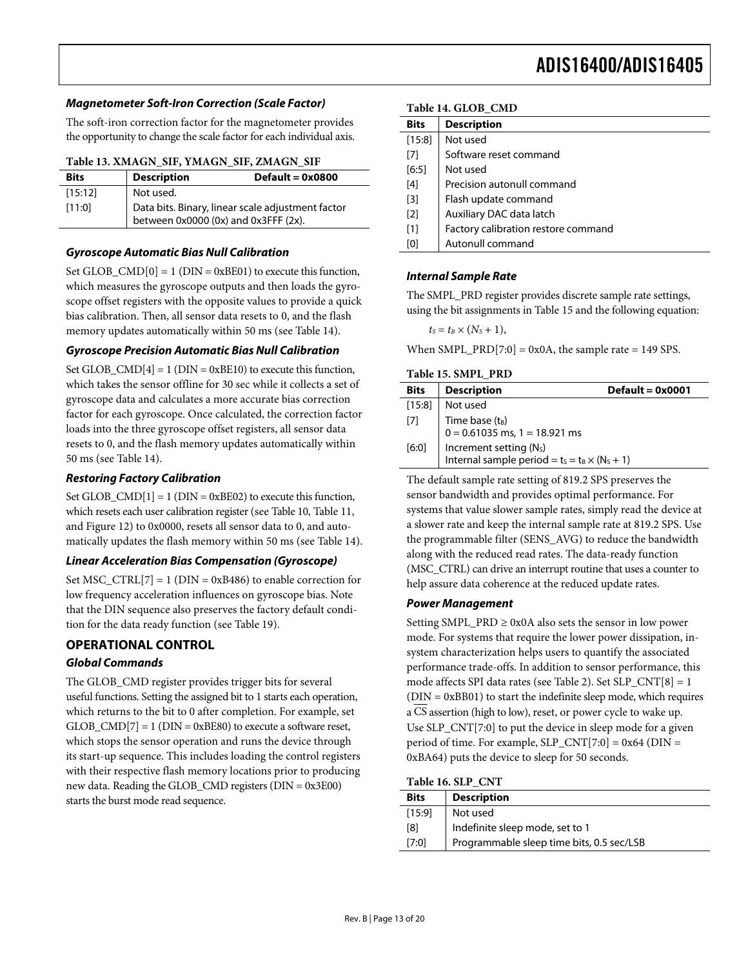#### <span id="page-12-4"></span><span id="page-12-0"></span>**Magnetometer Soft-Iron Correction (Scale Factor)**

The soft-iron correction factor for the magnetometer provides the opportunity to change the scale factor for each individual axis.

#### **Table 13. XMAGN\_SIF, YMAGN\_SIF, ZMAGN\_SIF**

<span id="page-12-1"></span>

| <b>Bits</b> | <b>Description</b>                                                                        | $Default = 0x0800$ |
|-------------|-------------------------------------------------------------------------------------------|--------------------|
| [15:12]     | Not used.                                                                                 |                    |
| [11:0]      | Data bits. Binary, linear scale adjustment factor<br>between 0x0000 (0x) and 0x3FFF (2x). |                    |

#### **Gyroscope Automatic Bias Null Calibration**

Set GLOB  $\text{CMD}[0] = 1$  (DIN = 0xBE01) to execute this function, which measures the gyroscope outputs and then loads the gyroscope offset registers with the opposite values to provide a quick bias calibration. Then, all sensor data resets to 0, and the flash memory updates automatically within 50 ms (see [Table 14](#page-12-4)).

#### **Gyroscope Precision Automatic Bias Null Calibration**

<span id="page-12-2"></span>Set GLOB\_CMD $[4] = 1$  (DIN = 0xBE10) to execute this function, which takes the sensor offline for 30 sec while it collects a set of gyroscope data and calculates a more accurate bias correction factor for each gyroscope. Once calculated, the correction factor loads into the three gyroscope offset registers, all sensor data resets to 0, and the flash memory updates automatically within 50 ms (see [Table 14](#page-12-4)).

#### **Restoring Factory Calibration**

Set GLOB\_CMD $[1] = 1$  (DIN = 0xBE02) to execute this function, which resets each user calibration register (see [Table 10](#page-11-3), [Table 11](#page-11-4), and [Figure 12\)](#page-11-1) to 0x0000, resets all sensor data to 0, and automatically updates the flash memory within 50 ms (see [Table 14](#page-12-4)).

#### **Linear Acceleration Bias Compensation (Gyroscope)**

Set MSC\_CTRL $[7] = 1$  (DIN = 0xB486) to enable correction for low frequency acceleration influences on gyroscope bias. Note that the DIN sequence also preserves the factory default condition for the data ready function (see [Table 19](#page-13-2)).

#### **OPERATIONAL CONTROL**

#### **Global Commands**

<span id="page-12-3"></span>The GLOB\_CMD register provides trigger bits for several useful functions. Setting the assigned bit to 1 starts each operation, which returns to the bit to 0 after completion. For example, set  $GLOB\_CMD[7] = 1 (DIN = 0xBE80)$  to execute a software reset, which stops the sensor operation and runs the device through its start-up sequence. This includes loading the control registers with their respective flash memory locations prior to producing new data. Reading the GLOB\_CMD registers (DIN = 0x3E00) starts the burst mode read sequence.

#### **Table 14. GLOB\_CMD**

| <b>Bits</b>       | <b>Description</b>                  |
|-------------------|-------------------------------------|
| [15:8]            | Not used                            |
| [7]               | Software reset command              |
| [6:5]             | Not used                            |
| [4]               | Precision autonull command          |
| [3]               | Flash update command                |
| $\lceil 2 \rceil$ | Auxiliary DAC data latch            |
| [1]               | Factory calibration restore command |
| [0]               | Autonull command                    |
|                   |                                     |

#### **Internal Sample Rate**

The SMPL\_PRD register provides discrete sample rate settings, using the bit assignments in [Table 15](#page-12-2) and the following equation:

 $t_S = t_B \times (N_S + 1),$ 

When SMPL\_PRD[7:0] =  $0x0A$ , the sample rate = 149 SPS.

#### **Table 15. SMPL\_PRD**

| <b>Bits</b> | <b>Description</b>                                                                           | Default = $0x0001$ |
|-------------|----------------------------------------------------------------------------------------------|--------------------|
| $[15:8]$    | Not used                                                                                     |                    |
| $[7]$       | Time base $(t_B)$<br>$0 = 0.61035$ ms, 1 = 18.921 ms                                         |                    |
| [6:0]       | Increment setting (N <sub>s</sub> )<br>Internal sample period = $t_s = t_B \times (N_s + 1)$ |                    |

The default sample rate setting of 819.2 SPS preserves the sensor bandwidth and provides optimal performance. For systems that value slower sample rates, simply read the device at a slower rate and keep the internal sample rate at 819.2 SPS. Use the programmable filter (SENS\_AVG) to reduce the bandwidth along with the reduced read rates. The data-ready function (MSC\_CTRL) can drive an interrupt routine that uses a counter to help assure data coherence at the reduced update rates.

### **Power Management**

Setting SMPL\_PRD  $\geq$  0x0A also sets the sensor in low power mode. For systems that require the lower power dissipation, insystem characterization helps users to quantify the associated performance trade-offs. In addition to sensor performance, this mode affects SPI data rates (see [Table 2](#page-5-2)). Set SLP\_CNT[8] = 1  $(DIN = 0xBB01)$  to start the indefinite sleep mode, which requires a CS assertion (high to low), reset, or power cycle to wake up. Use SLP\_CNT[7:0] to put the device in sleep mode for a given period of time. For example, SLP\_CNT[7:0] =  $0x64$  (DIN = 0xBA64) puts the device to sleep for 50 seconds.

| Table 16. SLP CNT |  |  |  |
|-------------------|--|--|--|
|-------------------|--|--|--|

| <b>Bits</b> | <b>Description</b>                        |
|-------------|-------------------------------------------|
| [15:9]      | Not used                                  |
| [8]         | Indefinite sleep mode, set to 1           |
| [7:0]       | Programmable sleep time bits, 0.5 sec/LSB |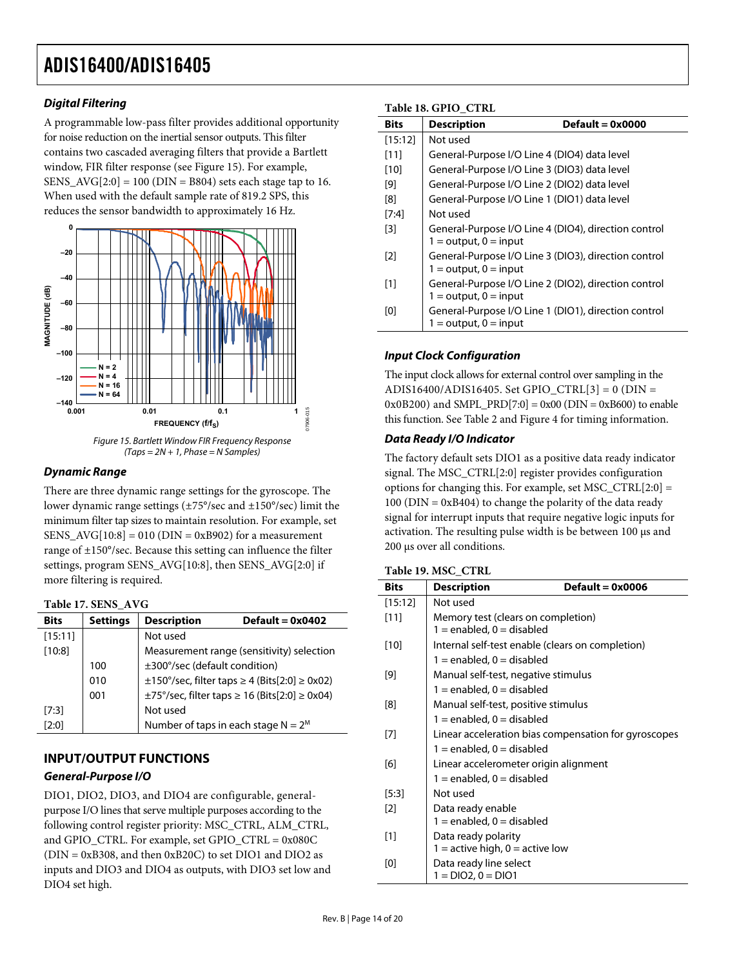### <span id="page-13-1"></span><span id="page-13-0"></span>**Digital Filtering**

A programmable low-pass filter provides additional opportunity for noise reduction on the inertial sensor outputs. This filter contains two cascaded averaging filters that provide a Bartlett window, FIR filter response (see Figure 15). For example, SENS\_AVG $[2:0] = 100$  (DIN = B804) sets each stage tap to 16. When used with the default sample rate of 819.2 SPS, this reduces the sensor bandwidth to approximately 16 Hz.





### **Dynamic Range**

There are three dynamic range settings for the gyroscope. The lower dynamic range settings (±75°/sec and ±150°/sec) limit the minimum filter tap sizes to maintain resolution. For example, set SENS\_AVG[10:8] = 010 (DIN = 0xB902) for a measurement range of ±150°/sec. Because this setting can influence the filter settings, program SENS\_AVG[10:8], then SENS\_AVG[2:0] if more filtering is required.

#### <span id="page-13-2"></span>**Table 17. SENS\_AVG**

<span id="page-13-3"></span>

| <b>Settings</b> | <b>Description</b>            | Default = $0x0402$                                                                  |
|-----------------|-------------------------------|-------------------------------------------------------------------------------------|
|                 | Not used                      |                                                                                     |
|                 |                               | Measurement range (sensitivity) selection                                           |
| 100             | ±300°/sec (default condition) |                                                                                     |
| 010             |                               | $\pm 150^{\circ}/\text{sec}$ , filter taps $\geq 4$ (Bits[2:0] $\geq 0 \times 02$ ) |
| 001             |                               | $\pm$ 75°/sec, filter taps $\geq$ 16 (Bits[2:0] $\geq$ 0x04)                        |
|                 | Not used                      |                                                                                     |
|                 |                               | Number of taps in each stage $N = 2^M$                                              |
|                 |                               |                                                                                     |

### **INPUT/OUTPUT FUNCTIONS**

#### **General-Purpose I/O**

DIO1, DIO2, DIO3, and DIO4 are configurable, generalpurpose I/O lines that serve multiple purposes according to the following control register priority: MSC\_CTRL, ALM\_CTRL, and GPIO\_CTRL. For example, set GPIO\_CTRL = 0x080C (DIN = 0xB308, and then 0xB20C) to set DIO1 and DIO2 as inputs and DIO3 and DIO4 as outputs, with DIO3 set low and DIO4 set high.

#### **Table 18. GPIO\_CTRL**

| <b>Bits</b>       | 1401010001100011100<br><b>Description</b><br>$Default = 0x0000$                   |
|-------------------|-----------------------------------------------------------------------------------|
| [15:12]           | Not used                                                                          |
| $[11]$            | General-Purpose I/O Line 4 (DIO4) data level                                      |
| $[10]$            | General-Purpose I/O Line 3 (DIO3) data level                                      |
| [9]               | General-Purpose I/O Line 2 (DIO2) data level                                      |
| [8]               | General-Purpose I/O Line 1 (DIO1) data level                                      |
| $[7:4]$           | Not used                                                                          |
| $\lceil 3 \rceil$ | General-Purpose I/O Line 4 (DIO4), direction control<br>$1 =$ output, $0 =$ input |
| [2]               | General-Purpose I/O Line 3 (DIO3), direction control<br>$1 =$ output, $0 =$ input |
| [1]               | General-Purpose I/O Line 2 (DIO2), direction control<br>$1 =$ output, $0 =$ input |
| [0]               | General-Purpose I/O Line 1 (DIO1), direction control<br>$1 =$ output, $0 =$ input |

### **Input Clock Configuration**

The input clock allows for external control over sampling in the ADIS16400/ADIS16405. Set GPIO\_CTRL[3] = 0 (DIN = 0x0B200) and SMPL\_PRD[7:0] = 0x00 (DIN = 0xB600) to enable this function. See [Table 2](#page-5-2) and [Figure 4](#page-5-3) for timing information.

#### **Data Ready I/O Indicator**

The factory default sets DIO1 as a positive data ready indicator signal. The MSC\_CTRL[2:0] register provides configuration options for changing this. For example, set MSC\_CTRL $[2:0] =$ 100 (DIN = 0xB404) to change the polarity of the data ready signal for interrupt inputs that require negative logic inputs for activation. The resulting pulse width is be between 100 μs and 200 μs over all conditions.

#### **Table 19. MSC\_CTRL**

| <b>Bits</b> | <b>Description</b><br>$Default = 0x0006$             |
|-------------|------------------------------------------------------|
| [15:12]     | Not used                                             |
| $[11]$      | Memory test (clears on completion)                   |
|             | $1 =$ enabled, $0 =$ disabled                        |
| [10]        | Internal self-test enable (clears on completion)     |
|             | $1 =$ enabled, $0 =$ disabled                        |
| [9]         | Manual self-test, negative stimulus                  |
|             | $1 =$ enabled, $0 =$ disabled                        |
| [8]         | Manual self-test, positive stimulus                  |
|             | $1 =$ enabled, $0 =$ disabled                        |
| [7]         | Linear acceleration bias compensation for gyroscopes |
|             | $1 =$ enabled, 0 = disabled                          |
| [6]         | Linear accelerometer origin alignment                |
|             | $1 =$ enabled, $0 =$ disabled                        |
| $[5:3]$     | Not used                                             |
| $[2]$       | Data ready enable                                    |
|             | $1 =$ enabled, $0 =$ disabled                        |
| $[1]$       | Data ready polarity                                  |
|             | 1 = active high, $0 =$ active low                    |
| [0]         | Data ready line select                               |
|             | $1 = DIO2.0 = DIO1$                                  |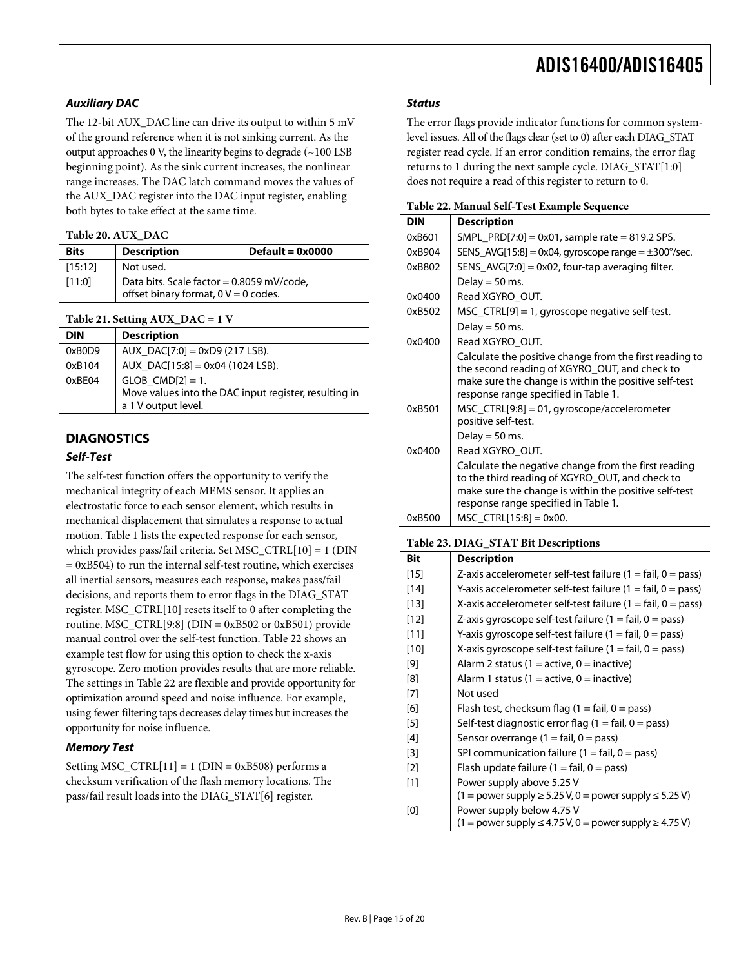#### <span id="page-14-0"></span>**Auxiliary DAC**

The 12-bit AUX\_DAC line can drive its output to within 5 mV of the ground reference when it is not sinking current. As the output approaches 0 V, the linearity begins to degrade  $(\sim 100 \text{ LSB})$ beginning point). As the sink current increases, the nonlinear range increases. The DAC latch command moves the values of the AUX\_DAC register into the DAC input register, enabling both bytes to take effect at the same time.

#### **Table 20. AUX\_DAC**

<span id="page-14-2"></span>

| <b>Bits</b> | <b>Description</b>                                                                  | $Default = 0x0000$ |
|-------------|-------------------------------------------------------------------------------------|--------------------|
| [15:12]     | Not used.                                                                           |                    |
| [11:0]      | Data bits. Scale factor = 0.8059 mV/code,<br>offset binary format, $0 V = 0$ codes. |                    |

**Table 21. Setting AUX\_DAC = 1 V** 

| <b>DIN</b> | <b>Description</b>                                                                                    |
|------------|-------------------------------------------------------------------------------------------------------|
| 0xB0D9     | AUX $DAC[7:0] = 0xD9(217LSB)$ .                                                                       |
| 0xB104     | AUX_DAC[15:8] = 0x04 (1024 LSB).                                                                      |
| 0xBE04     | $GLOB$ $CMD[2] = 1$ .<br>Move values into the DAC input register, resulting in<br>a 1 V output level. |
|            |                                                                                                       |

#### **DIAGNOSTICS**

#### **Self-Test**

<span id="page-14-1"></span>The self-test function offers the opportunity to verify the mechanical integrity of each MEMS sensor. It applies an electrostatic force to each sensor element, which results in mechanical displacement that simulates a response to actual motion. [Table 1](#page-2-1) lists the expected response for each sensor, which provides pass/fail criteria. Set MSC\_CTRL[10] = 1 (DIN  $= 0xB504$ ) to run the internal self-test routine, which exercises all inertial sensors, measures each response, makes pass/fail decisions, and reports them to error flags in the DIAG\_STAT register. MSC\_CTRL[10] resets itself to 0 after completing the routine. MSC\_CTRL $[9:8]$  (DIN = 0xB502 or 0xB501) provide manual control over the self-test function. Table 22 shows an example test flow for using this option to check the x-axis gyroscope. Zero motion provides results that are more reliable. The settings in Table 22 are flexible and provide opportunity for optimization around speed and noise influence. For example, using fewer filtering taps decreases delay times but increases the opportunity for noise influence.

#### **Memory Test**

Setting  $MSC_CTRL[11] = 1$  (DIN = 0xB508) performs a checksum verification of the flash memory locations. The pass/fail result loads into the DIAG\_STAT[6] register.

#### **Status**

The error flags provide indicator functions for common systemlevel issues. All of the flags clear (set to 0) after each DIAG\_STAT register read cycle. If an error condition remains, the error flag returns to 1 during the next sample cycle. DIAG\_STAT[1:0] does not require a read of this register to return to 0.

|  |  |  |  | Table 22. Manual Self-Test Example Sequence |
|--|--|--|--|---------------------------------------------|
|--|--|--|--|---------------------------------------------|

| <b>DIN</b> | <b>Description</b>                                                                                                                                                                                        |
|------------|-----------------------------------------------------------------------------------------------------------------------------------------------------------------------------------------------------------|
| 0xB601     | SMPL PRD[7:0] = $0x01$ , sample rate = 819.2 SPS.                                                                                                                                                         |
| 0xB904     | SENS $AVG[15:8] = 0x04$ , gyroscope range = $\pm 300^{\circ}/sec$ .                                                                                                                                       |
| 0xB802     | SENS_AVG[7:0] = $0x02$ , four-tap averaging filter.                                                                                                                                                       |
|            | Delay $=$ 50 ms.                                                                                                                                                                                          |
| 0x0400     | Read XGYRO OUT.                                                                                                                                                                                           |
| 0xB502     | $MSC_CTRL[9] = 1$ , gyroscope negative self-test.                                                                                                                                                         |
|            | Delay $=$ 50 ms.                                                                                                                                                                                          |
| 0x0400     | Read XGYRO_OUT.                                                                                                                                                                                           |
|            | Calculate the positive change from the first reading to<br>the second reading of XGYRO_OUT, and check to<br>make sure the change is within the positive self-test<br>response range specified in Table 1. |
| 0xB501     | $MSC_CTRL[9:8] = 01$ , gyroscope/accelerometer<br>positive self-test.                                                                                                                                     |
|            | Delay = $50$ ms.                                                                                                                                                                                          |
| 0x0400     | Read XGYRO OUT.                                                                                                                                                                                           |
|            | Calculate the negative change from the first reading<br>to the third reading of XGYRO_OUT, and check to<br>make sure the change is within the positive self-test<br>response range specified in Table 1.  |
| 0xB500     | $MSC$ CTRL[15:8] = 0x00.                                                                                                                                                                                  |

#### **Table 23. DIAG\_STAT Bit Descriptions**

| Bit    | <b>Description</b>                                                          |
|--------|-----------------------------------------------------------------------------|
| $[15]$ | Z-axis accelerometer self-test failure $(1 = \text{fail}, 0 = \text{pass})$ |
| $[14]$ | Y-axis accelerometer self-test failure (1 = fail, 0 = pass)                 |
| $[13]$ | X-axis accelerometer self-test failure (1 = fail, 0 = pass)                 |
| [12]   | Z-axis gyroscope self-test failure (1 = fail, 0 = pass)                     |
| $[11]$ | Y-axis gyroscope self-test failure (1 = fail, 0 = pass)                     |
| $[10]$ | X-axis gyroscope self-test failure $(1 = \text{fail}, 0 = \text{pass})$     |
| $[9]$  | Alarm 2 status (1 = active, 0 = inactive)                                   |
| [8]    | Alarm 1 status (1 = active, 0 = inactive)                                   |
| [7]    | Not used                                                                    |
| [6]    | Flash test, checksum flag $(1 = \text{fail}, 0 = \text{pass})$              |
| $[5]$  | Self-test diagnostic error flag $(1 = \text{fail}, 0 = \text{pass})$        |
| $[4]$  | Sensor overrange $(1 = \text{fail}, 0 = \text{pass})$                       |
| $[3]$  | SPI communication failure $(1 = \text{fail}, 0 = \text{pass})$              |
| $[2]$  | Flash update failure $(1 = \text{fail}, 0 = \text{pass})$                   |
| $[1]$  | Power supply above 5.25 V                                                   |
|        | $(1 =$ power supply $\geq 5.25$ V, 0 = power supply $\leq 5.25$ V)          |
| [0]    | Power supply below 4.75 V                                                   |
|        | $(1 =$ power supply $\leq 4.75$ V, 0 = power supply $\geq 4.75$ V)          |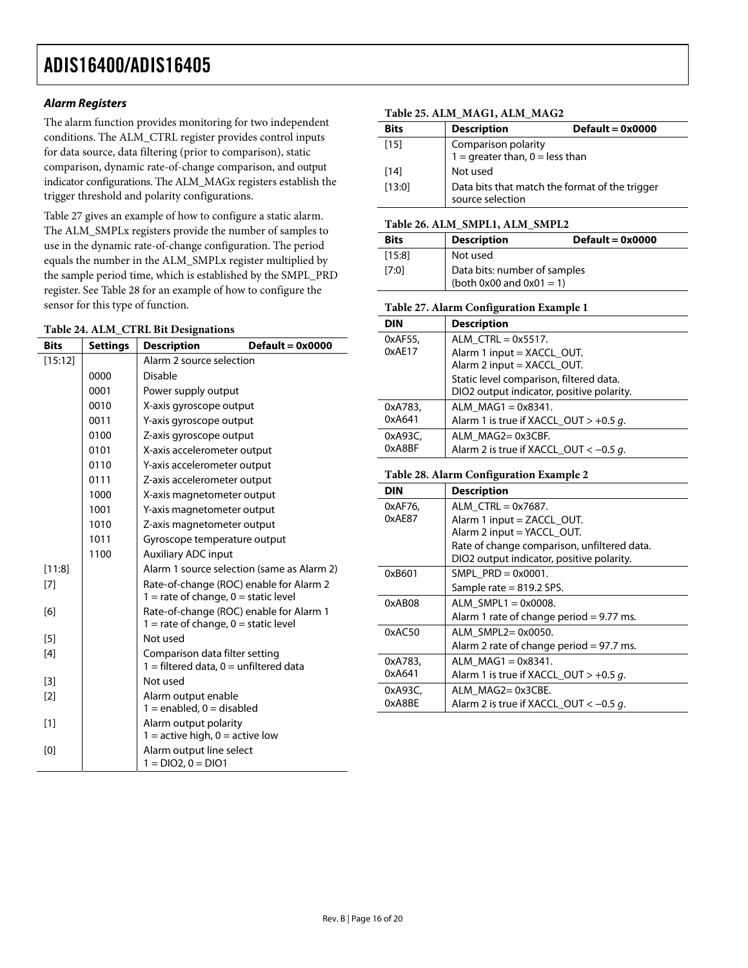### <span id="page-15-2"></span>**Alarm Registers**

The alarm function provides monitoring for two independent conditions. The ALM\_CTRL register provides control inputs for data source, data filtering (prior to comparison), static comparison, dynamic rate-of-change comparison, and output indicator configurations. The ALM\_MAGx registers establish the trigger threshold and polarity configurations.

<span id="page-15-0"></span>[Table 27](#page-15-3) gives an example of how to configure a static alarm. The ALM\_SMPLx registers provide the number of samples to use in the dynamic rate-of-change configuration. The period equals the number in the ALM\_SMPLx register multiplied by the sample period time, which is established by the SMPL\_PRD register. See [Table 28](#page-15-4) for an example of how to configure the sensor for this type of function.

#### <span id="page-15-3"></span>**Table 24. ALM\_CTRL Bit Designations**

<span id="page-15-4"></span><span id="page-15-1"></span>

| <b>Bits</b> | <b>Settings</b> | $Default = 0x0000$<br><b>Description</b>                                            |
|-------------|-----------------|-------------------------------------------------------------------------------------|
| [15:12]     |                 | Alarm 2 source selection                                                            |
|             | 0000            | <b>Disable</b>                                                                      |
|             | 0001            | Power supply output                                                                 |
|             | 0010            | X-axis gyroscope output                                                             |
|             | 0011            | Y-axis gyroscope output                                                             |
|             | 0100            | Z-axis gyroscope output                                                             |
|             | 0101            | X-axis accelerometer output                                                         |
|             | 0110            | Y-axis accelerometer output                                                         |
|             | 0111            | Z-axis accelerometer output                                                         |
|             | 1000            | X-axis magnetometer output                                                          |
|             | 1001            | Y-axis magnetometer output                                                          |
|             | 1010            | Z-axis magnetometer output                                                          |
|             | 1011            | Gyroscope temperature output                                                        |
|             | 1100            | <b>Auxiliary ADC input</b>                                                          |
| [11:8]      |                 | Alarm 1 source selection (same as Alarm 2)                                          |
| [7]         |                 | Rate-of-change (ROC) enable for Alarm 2<br>$1 =$ rate of change, $0 =$ static level |
| [6]         |                 | Rate-of-change (ROC) enable for Alarm 1<br>$1 =$ rate of change, $0 =$ static level |
| [5]         |                 | Not used                                                                            |
| [4]         |                 | Comparison data filter setting<br>$1 =$ filtered data, $0 =$ unfiltered data        |
| [3]         |                 | Not used                                                                            |
| [2]         |                 | Alarm output enable                                                                 |
|             |                 | $1 =$ enabled, $0 =$ disabled                                                       |
| $[1]$       |                 | Alarm output polarity<br>$1 =$ active high, $0 =$ active low                        |
| [0]         |                 | Alarm output line select<br>$1 = DIO2, 0 = DIO1$                                    |

#### **Table 25. ALM\_MAG1, ALM\_MAG2**

| <b>Bits</b> | <b>Description</b>                                                 | $Default = 0x0000$ |
|-------------|--------------------------------------------------------------------|--------------------|
| [15]        |                                                                    |                    |
|             | Comparison polarity<br>$1 =$ greater than, $0 =$ less than         |                    |
| $[14]$      | Not used                                                           |                    |
| [13:0]      | Data bits that match the format of the trigger<br>source selection |                    |

#### **Table 26. ALM\_SMPL1, ALM\_SMPL2**

| <b>Bits</b> | <b>Description</b>                                            | $Default = 0x0000$ |
|-------------|---------------------------------------------------------------|--------------------|
| [15:8]      | Not used                                                      |                    |
| [7:0]       | Data bits: number of samples<br>(both $0x00$ and $0x01 = 1$ ) |                    |

#### **Table 27. Alarm Configuration Example 1**

| <b>DIN</b>        | <b>Description</b>                        |
|-------------------|-------------------------------------------|
| 0xAF55,           | ALM $CTRL = 0x5517$ .                     |
| 0xAE17            | Alarm 1 input = XACCL OUT.                |
|                   | Alarm 2 input = XACCL_OUT.                |
|                   | Static level comparison, filtered data.   |
|                   | DIO2 output indicator, positive polarity. |
| 0xA783,           | ALM $MAG1 = 0x8341$ .                     |
| 0xA641            | Alarm 1 is true if XACCL OUT > $+0.5$ q.  |
| 0xA93C,<br>0xA8BF | ALM MAG2=0x3CBF.                          |
|                   | Alarm 2 is true if XACCL_OUT < $-0.5$ g.  |

#### **Table 28. Alarm Configuration Example 2**

| <b>DIN</b> | <b>Description</b>                          |  |  |
|------------|---------------------------------------------|--|--|
| 0xAF76,    | ALM $CTRL = 0x7687$ .                       |  |  |
| 0xAE87     | Alarm 1 input $=$ ZACCL OUT.                |  |  |
|            | Alarm 2 input = YACCL_OUT.                  |  |  |
|            | Rate of change comparison, unfiltered data. |  |  |
|            | DIO2 output indicator, positive polarity.   |  |  |
| 0xB601     | SMPL $PRD = 0 \times 0001$ .                |  |  |
|            | Sample rate $= 819.2$ SPS.                  |  |  |
| 0xAB08     | ALM SMPL1 = $0 \times 0008$ .               |  |  |
|            | Alarm 1 rate of change period $= 9.77$ ms.  |  |  |
| 0xAC50     | ALM SMPL2=0x0050.                           |  |  |
|            | Alarm 2 rate of change period = 97.7 ms.    |  |  |
| 0xA783,    | ALM $MAG1 = 0x8341$ .                       |  |  |
| 0xA641     | Alarm 1 is true if XACCL OUT $> +0.5$ q.    |  |  |
| 0xA93C,    | ALM MAG2=0x3CBE.                            |  |  |
| 0xA8BE     | Alarm 2 is true if XACCL_OUT $<-0.5$ q.     |  |  |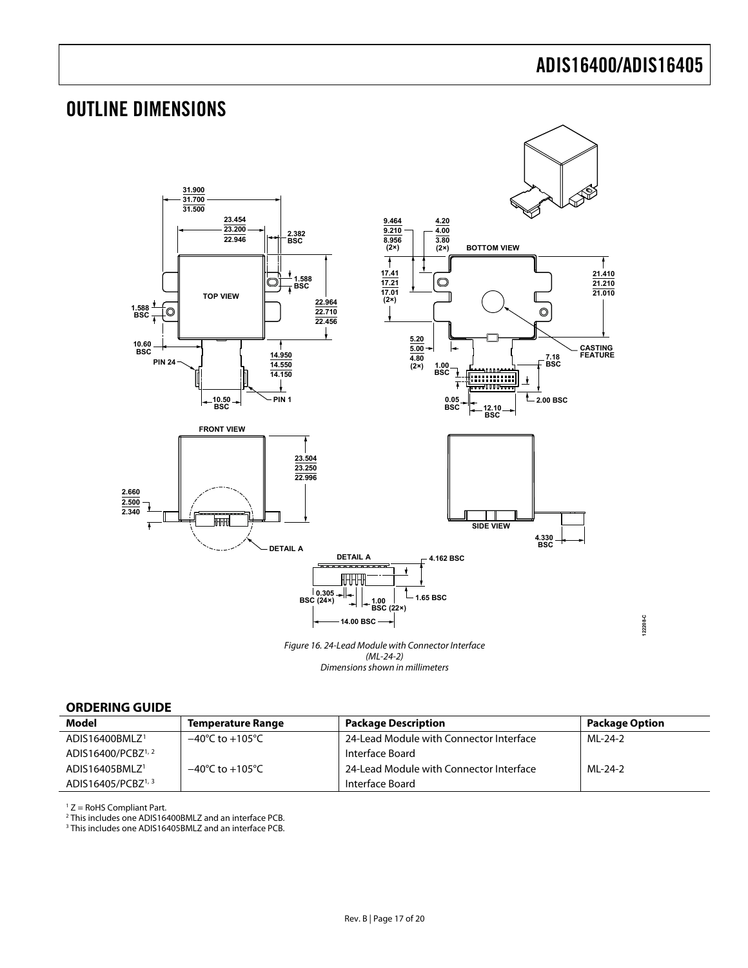**122208-C**

## <span id="page-16-1"></span><span id="page-16-0"></span>OUTLINE DIMENSIONS



#### **ORDERING GUIDE**

| <b>Model</b>                   | <b>Temperature Range</b>            | <b>Package Description</b>              | <b>Package Option</b> |
|--------------------------------|-------------------------------------|-----------------------------------------|-----------------------|
| ADIS16400BMLZ <sup>1</sup>     | $-40^{\circ}$ C to $+105^{\circ}$ C | 24-Lead Module with Connector Interface | ML-24-2               |
| ADIS16400/PCBZ <sup>1, 2</sup> |                                     | Interface Board                         |                       |
| ADIS16405BMLZ <sup>1</sup>     | $-40^{\circ}$ C to $+105^{\circ}$ C | 24-Lead Module with Connector Interface | MI-24-2               |
| ADIS16405/PCBZ <sup>1, 3</sup> |                                     | Interface Board                         |                       |

1 Z = RoHS Compliant Part.

<sup>2</sup> This includes one ADIS16400BMLZ and an interface PCB.<br><sup>3</sup> This includes one ADIS16405BMLZ and an interface PCB.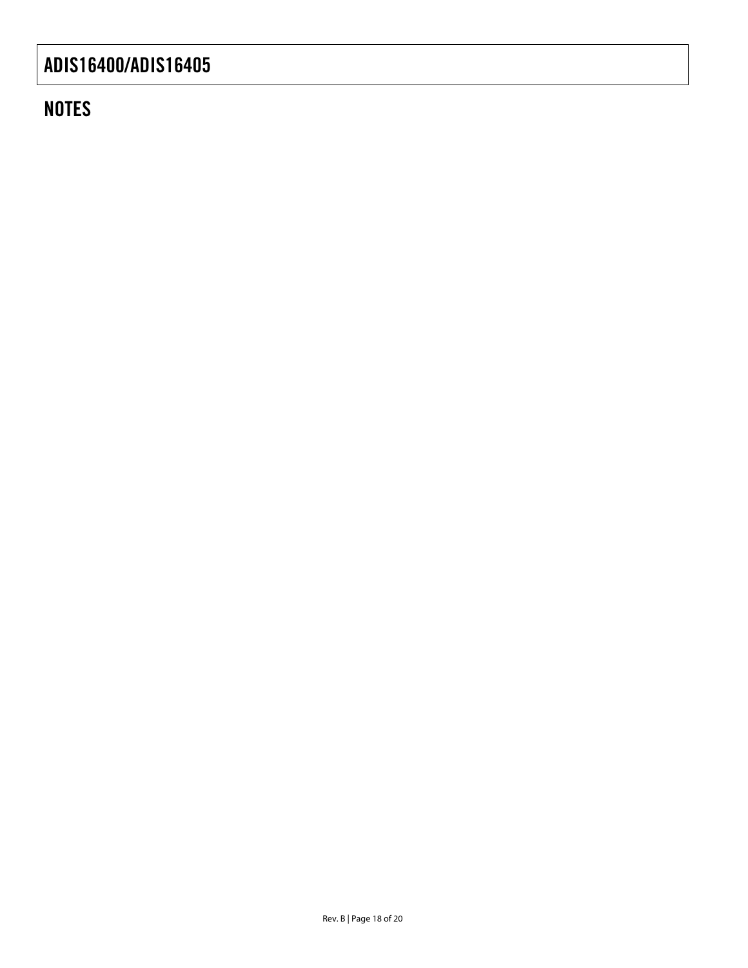## **NOTES**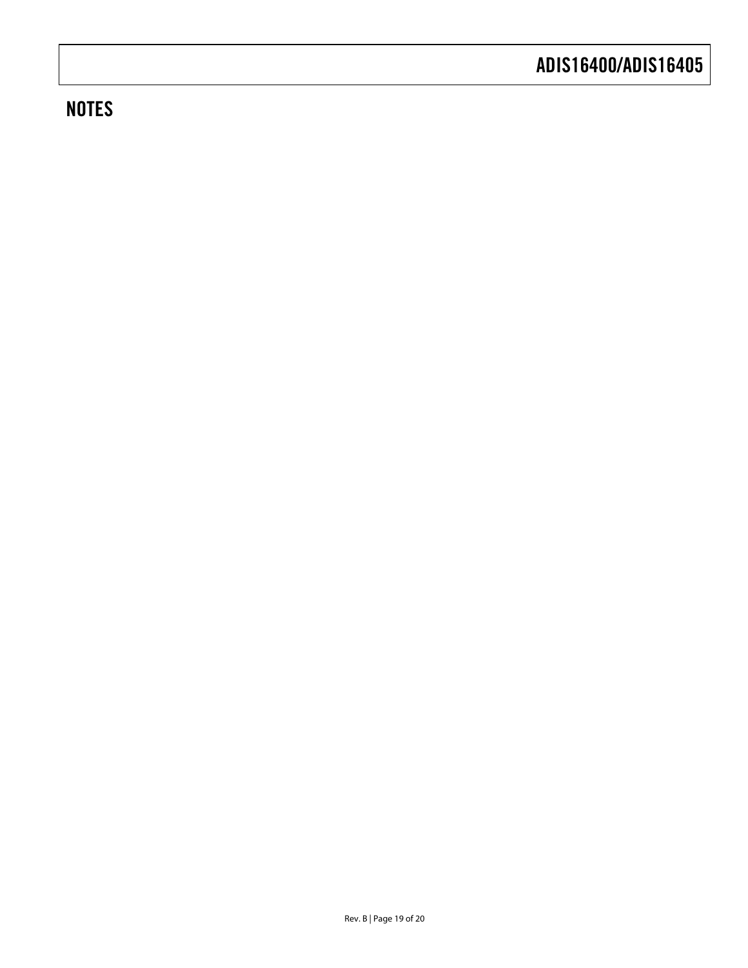## **NOTES**